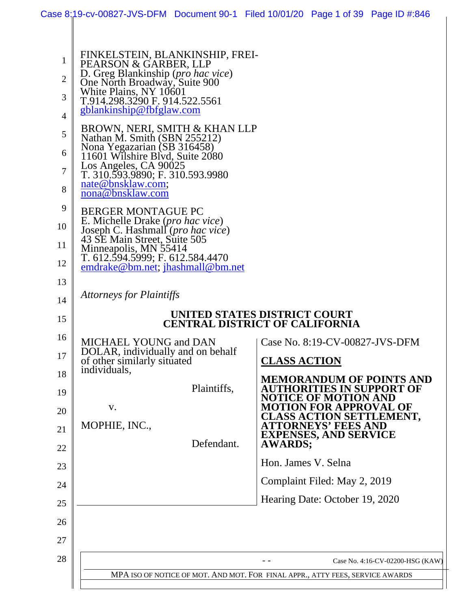|                                                                                             |                                                                                                                                                                                                                                                                                                                                                                                                                                                                                                                                                                                                                                                                                                                                            | Case 8:19-cv-00827-JVS-DFM Document 90-1 Filed 10/01/20 Page 1 of 39 Page ID #:846   |  |  |  |
|---------------------------------------------------------------------------------------------|--------------------------------------------------------------------------------------------------------------------------------------------------------------------------------------------------------------------------------------------------------------------------------------------------------------------------------------------------------------------------------------------------------------------------------------------------------------------------------------------------------------------------------------------------------------------------------------------------------------------------------------------------------------------------------------------------------------------------------------------|--------------------------------------------------------------------------------------|--|--|--|
| 1<br>$\overline{2}$<br>3<br>$\overline{4}$<br>5<br>6<br>7<br>8<br>9<br>10<br>11<br>12<br>13 | FINKELSTEIN, BLANKINSHIP, FREI-<br>PEARSON & GARBER, LLP<br>D. Greg Blankinship (pro hac vice)<br>One North Broadway, Suite 900<br>White Plains, NY 10601<br>T.914.298.3290 F. 914.522.5561<br>gblankinship@fbfglaw.com<br>BROWN, NERI, SMITH & KHAN LLP<br>Nathan M. Smith (SBN 255212)<br>Nona Yegazarian (SB 316458)<br>11601 Wilshire Blvd, Suite 2080<br>Los Angeles, CA 90025<br>T. 310.593.9890; F. 310.593.9980<br>nate@bnsklaw.com;<br>nona@bnsklaw.com<br><b>BERGER MONTAGUE PC</b><br>E. Michelle Drake (pro hac vice)<br>Joseph C. Hashmall (pro hac vice)<br>43 SE Main Street, Suite 505<br>Minneapolis, MN 55414<br>T. 612.594.5999; F. 612.584.4470<br>emdrake@bm.net; jhashmall@bm.net<br><b>Attorneys for Plaintiffs</b> |                                                                                      |  |  |  |
| 14                                                                                          |                                                                                                                                                                                                                                                                                                                                                                                                                                                                                                                                                                                                                                                                                                                                            | UNITED STATES DISTRICT COURT                                                         |  |  |  |
| 15                                                                                          | <b>CENTRAL DISTRICT OF CALIFORNIA</b>                                                                                                                                                                                                                                                                                                                                                                                                                                                                                                                                                                                                                                                                                                      |                                                                                      |  |  |  |
| 16<br>17                                                                                    | <b>MICHAEL YOUNG and DAN</b><br>DOLAR, individually and on behalf<br>of other similarly situated<br>individuals,                                                                                                                                                                                                                                                                                                                                                                                                                                                                                                                                                                                                                           | Case No. 8:19-CV-00827-JVS-DFM<br><b>CLASS ACTION</b>                                |  |  |  |
| 18<br>19                                                                                    | Plaintiffs,                                                                                                                                                                                                                                                                                                                                                                                                                                                                                                                                                                                                                                                                                                                                | <b>MEMORANDUM OF POINTS AND</b><br>AUTHORITIES IN SUPPORT OF<br>NOTICE OF MOTION AND |  |  |  |
| 20                                                                                          | V.                                                                                                                                                                                                                                                                                                                                                                                                                                                                                                                                                                                                                                                                                                                                         | MOTION FOR APPROVAL OF<br><b>CLASS ACTION SETTLEMENT,</b>                            |  |  |  |
| 21                                                                                          | MOPHIE, INC.,<br>Defendant.                                                                                                                                                                                                                                                                                                                                                                                                                                                                                                                                                                                                                                                                                                                | ATTORNEYS' FEES AND<br><b>EXPENSES, AND SERVICE</b><br><b>AWARDS;</b>                |  |  |  |
| 22<br>23                                                                                    |                                                                                                                                                                                                                                                                                                                                                                                                                                                                                                                                                                                                                                                                                                                                            | Hon. James V. Selna                                                                  |  |  |  |
| 24                                                                                          |                                                                                                                                                                                                                                                                                                                                                                                                                                                                                                                                                                                                                                                                                                                                            | Complaint Filed: May 2, 2019                                                         |  |  |  |
| 25                                                                                          |                                                                                                                                                                                                                                                                                                                                                                                                                                                                                                                                                                                                                                                                                                                                            | Hearing Date: October 19, 2020                                                       |  |  |  |
| 26                                                                                          |                                                                                                                                                                                                                                                                                                                                                                                                                                                                                                                                                                                                                                                                                                                                            |                                                                                      |  |  |  |
| 27                                                                                          |                                                                                                                                                                                                                                                                                                                                                                                                                                                                                                                                                                                                                                                                                                                                            |                                                                                      |  |  |  |
| 28                                                                                          |                                                                                                                                                                                                                                                                                                                                                                                                                                                                                                                                                                                                                                                                                                                                            | Case No. 4:16-CV-02200-HSG (KAW)                                                     |  |  |  |
|                                                                                             |                                                                                                                                                                                                                                                                                                                                                                                                                                                                                                                                                                                                                                                                                                                                            | MPA ISO OF NOTICE OF MOT. AND MOT. FOR FINAL APPR., ATTY FEES, SERVICE AWARDS        |  |  |  |
|                                                                                             |                                                                                                                                                                                                                                                                                                                                                                                                                                                                                                                                                                                                                                                                                                                                            |                                                                                      |  |  |  |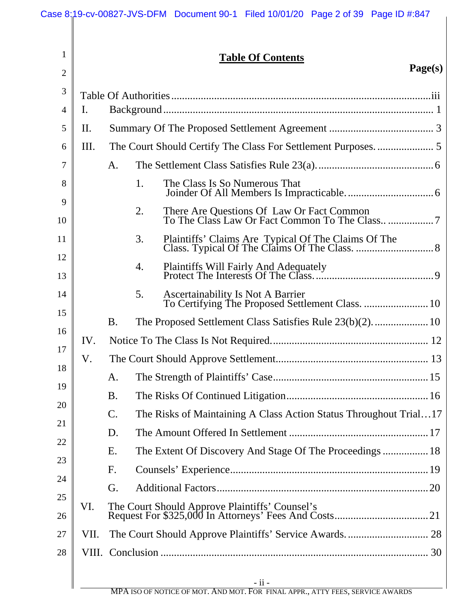| $\mathbf{1}$   |      | <b>Table Of Contents</b><br>Page(s)                                                                |
|----------------|------|----------------------------------------------------------------------------------------------------|
| $\overline{2}$ |      |                                                                                                    |
| 3              |      |                                                                                                    |
| 4              | Ι.   |                                                                                                    |
| 5              | Π.   |                                                                                                    |
| 6              | Ш.   |                                                                                                    |
| 7              |      | A.                                                                                                 |
| 8<br>9         |      | The Class Is So Numerous That<br>1.                                                                |
| 10             |      | 2.                                                                                                 |
| 11             |      | 3.                                                                                                 |
| 12<br>13       |      | 4.                                                                                                 |
| 14             |      | <b>Ascertainability Is Not A Barrier</b><br>5.<br>To Certifying The Proposed Settlement Class.  10 |
| 15             |      | <b>B.</b>                                                                                          |
| 16             | IV.  |                                                                                                    |
| 17             | V.   |                                                                                                    |
| 18             |      |                                                                                                    |
| 19             |      | <b>B.</b>                                                                                          |
| 20             |      | The Risks of Maintaining A Class Action Status Throughout Trial17<br>$\mathcal{C}$ .               |
| 21             |      | D.                                                                                                 |
| 22             |      | The Extent Of Discovery And Stage Of The Proceedings  18<br>Ε.                                     |
| 23             |      | F.                                                                                                 |
| 24             |      | G.                                                                                                 |
| 25             | VI.  |                                                                                                    |
| 26             |      |                                                                                                    |
| 27             | VII. |                                                                                                    |
| 28             |      |                                                                                                    |
|                |      | $-ii -$                                                                                            |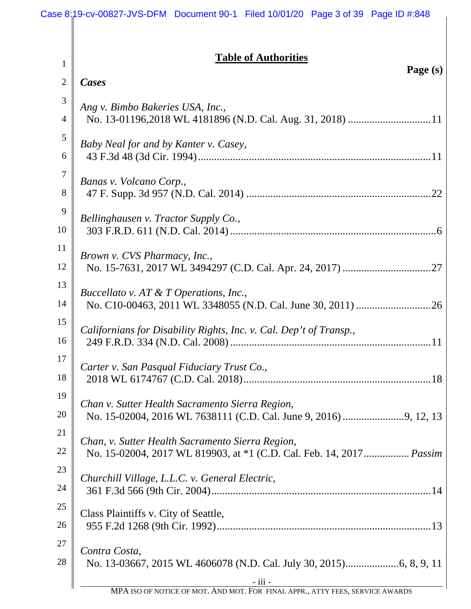|                                | <b>Table of Authorities</b>                                                   |
|--------------------------------|-------------------------------------------------------------------------------|
| $\mathbf{1}$<br>$\overline{2}$ | Page (s)<br>Cases                                                             |
|                                |                                                                               |
| 3<br>$\overline{4}$            | Ang v. Bimbo Bakeries USA, Inc.,                                              |
| 5                              |                                                                               |
| 6                              | Baby Neal for and by Kanter v. Casey,                                         |
| $\overline{7}$                 | Banas v. Volcano Corp.,                                                       |
| 8                              |                                                                               |
| 9                              | Bellinghausen v. Tractor Supply Co.,                                          |
| 10                             |                                                                               |
| 11                             | Brown v. CVS Pharmacy, Inc.,                                                  |
| 12                             |                                                                               |
| 13                             | Buccellato v. AT & T Operations, Inc.,                                        |
| 14                             |                                                                               |
| 15                             |                                                                               |
| 16                             | Californians for Disability Rights, Inc. v. Cal. Dep't of Transp.,            |
| 17                             |                                                                               |
| 18                             | Carter v. San Pasqual Fiduciary Trust Co.,                                    |
| 19                             |                                                                               |
| 20                             | Chan v. Sutter Health Sacramento Sierra Region,                               |
| 21                             |                                                                               |
| 22                             | Chan, v. Sutter Health Sacramento Sierra Region,                              |
| 23                             | No. 15-02004, 2017 WL 819903, at *1 (C.D. Cal. Feb. 14, 2017 Passim           |
| 24                             | Churchill Village, L.L.C. v. General Electric,                                |
| 25                             |                                                                               |
| 26                             | Class Plaintiffs v. City of Seattle,                                          |
| 27                             |                                                                               |
| 28                             | Contra Costa,                                                                 |
|                                | - iii -                                                                       |
|                                | MPA ISO OF NOTICE OF MOT. AND MOT. FOR FINAL APPR., ATTY FEES, SERVICE AWARDS |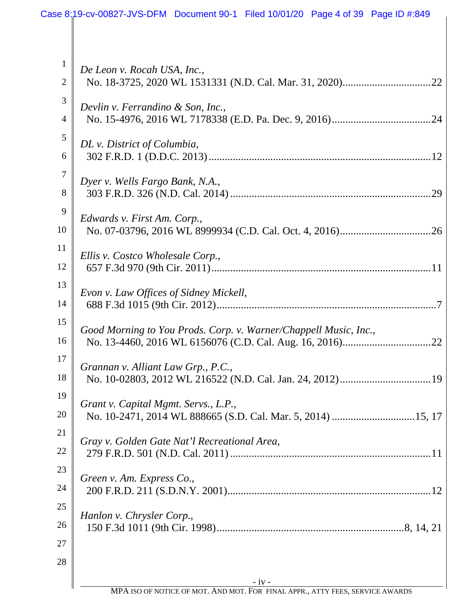| $\mathbf{1}$<br>$\overline{2}$ | De Leon v. Rocah USA, Inc.,                                      |
|--------------------------------|------------------------------------------------------------------|
| 3                              |                                                                  |
| $\overline{4}$                 | Devlin v. Ferrandino & Son, Inc.,                                |
| 5                              |                                                                  |
| 6                              | DL v. District of Columbia,                                      |
| $\overline{7}$                 |                                                                  |
| 8                              | Dyer v. Wells Fargo Bank, N.A.,                                  |
| 9                              |                                                                  |
| 10                             | Edwards v. First Am. Corp.,                                      |
| 11                             |                                                                  |
| 12                             | Ellis v. Costco Wholesale Corp.,                                 |
| 13                             |                                                                  |
| 14                             | Evon v. Law Offices of Sidney Mickell,                           |
| 15                             |                                                                  |
| 16                             | Good Morning to You Prods. Corp. v. Warner/Chappell Music, Inc., |
| 17                             |                                                                  |
| 18                             | Grannan v. Alliant Law Grp., P.C.,                               |
|                                |                                                                  |
| 19                             | Grant v. Capital Mgmt. Servs., L.P.,                             |
| 20                             |                                                                  |
| 21                             | Gray v. Golden Gate Nat'l Recreational Area,                     |
| 22                             |                                                                  |
| 23                             | Green v. Am. Express Co.,                                        |
| 24                             |                                                                  |
| 25                             | Hanlon v. Chrysler Corp.,                                        |
| 26                             |                                                                  |
| 27                             |                                                                  |
| 28                             |                                                                  |
|                                | $-iv -$                                                          |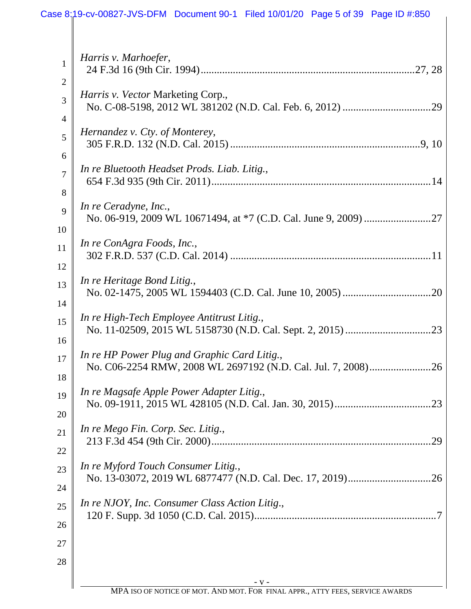| $\mathbf{1}$        | Harris v. Marhoefer,                           |
|---------------------|------------------------------------------------|
| $\overline{2}$<br>3 | Harris v. Vector Marketing Corp.,              |
| $\overline{4}$      | Hernandez v. Cty. of Monterey,                 |
| 5<br>6              |                                                |
| $\overline{7}$<br>8 | In re Bluetooth Headset Prods. Liab. Litig.,   |
| 9                   | In re Ceradyne, Inc.,                          |
| 10<br>11            | In re ConAgra Foods, Inc.,                     |
| 12<br>13            | In re Heritage Bond Litig.,                    |
| 14<br>15<br>16      | In re High-Tech Employee Antitrust Litig.,     |
| 17<br>18            | In re HP Power Plug and Graphic Card Litig.,   |
| 19<br>20            | In re Magsafe Apple Power Adapter Litig.,      |
| 21<br>22            | In re Mego Fin. Corp. Sec. Litig.,<br>.29      |
| 23<br>24            | In re Myford Touch Consumer Litig.,            |
| 25<br>26            | In re NJOY, Inc. Consumer Class Action Litig., |
| 27<br>28            |                                                |
|                     |                                                |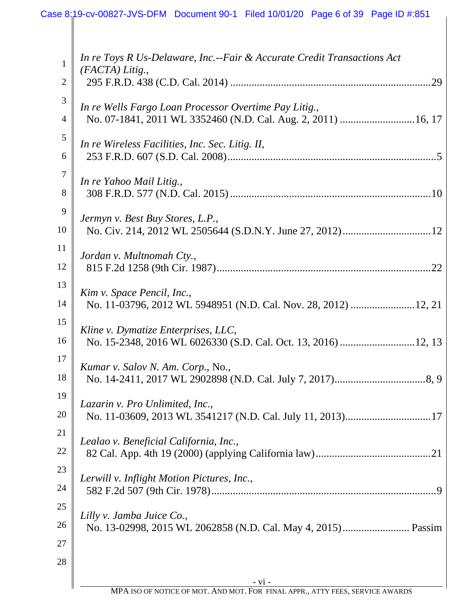| 1              | In re Toys R Us-Delaware, Inc.--Fair & Accurate Credit Transactions Act |
|----------------|-------------------------------------------------------------------------|
| $\overline{2}$ | (FACTA) Litig.,<br>.29                                                  |
|                |                                                                         |
| 3              | In re Wells Fargo Loan Processor Overtime Pay Litig.,                   |
| $\overline{4}$ | No. 07-1841, 2011 WL 3352460 (N.D. Cal. Aug. 2, 2011)  16, 17           |
| 5              | In re Wireless Facilities, Inc. Sec. Litig. II,                         |
| 6              |                                                                         |
| $\overline{7}$ | In re Yahoo Mail Litig.,                                                |
| 8              |                                                                         |
| 9              | Jermyn v. Best Buy Stores, L.P.,                                        |
| 10             |                                                                         |
| 11             |                                                                         |
| 12             | Jordan v. Multnomah Cty.,<br>.22                                        |
| 13             |                                                                         |
| 14             | Kim v. Space Pencil, Inc.,                                              |
| 15             |                                                                         |
|                | Kline v. Dymatize Enterprises, LLC,                                     |
| 16             |                                                                         |
| 17             | Kumar v. Salov N. Am. Corp., No.,                                       |
| 18             | No. 14-2411, 2017 WL 2902898 (N.D. Cal. July 7, 2017)<br>8.9            |
| 19             | Lazarin v. Pro Unlimited, Inc.,                                         |
| 20             |                                                                         |
| 21             | Lealao v. Beneficial California, Inc.,                                  |
| 22             |                                                                         |
| 23             |                                                                         |
| 24             | Lerwill v. Inflight Motion Pictures, Inc.,                              |
| 25             |                                                                         |
| 26             | Lilly v. Jamba Juice Co.,                                               |
| 27             |                                                                         |
| 28             |                                                                         |
|                |                                                                         |
|                | $-VI -$                                                                 |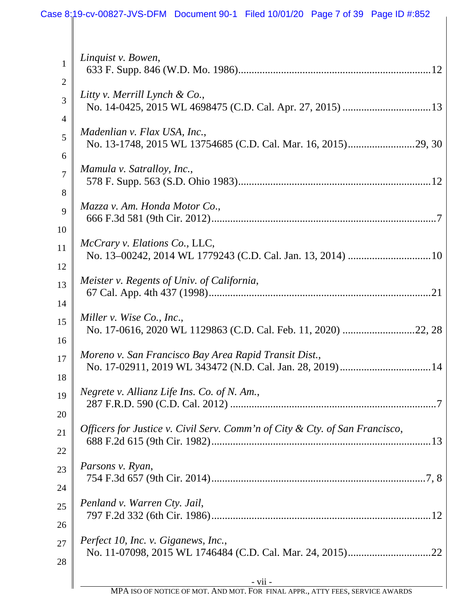# Case 8:19-cv-00827-JVS-DFM Document 90-1 Filed 10/01/20 Page 7 of 39 Page ID #:852

| Negrete v. Allianz Life Ins. Co. of N. Am.,<br>Officers for Justice v. Civil Serv. Comm'n of City & Cty. of San Francisco,<br>Parsons v. Ryan, |
|------------------------------------------------------------------------------------------------------------------------------------------------|
|                                                                                                                                                |
|                                                                                                                                                |
|                                                                                                                                                |
|                                                                                                                                                |
|                                                                                                                                                |
|                                                                                                                                                |
| Moreno v. San Francisco Bay Area Rapid Transit Dist.,                                                                                          |
|                                                                                                                                                |
| Miller v. Wise Co., Inc.,                                                                                                                      |
| Meister v. Regents of Univ. of California,                                                                                                     |
|                                                                                                                                                |
| McCrary v. Elations Co., LLC,                                                                                                                  |
|                                                                                                                                                |
| Mazza v. Am. Honda Motor Co.,                                                                                                                  |
|                                                                                                                                                |
| Mamula v. Satralloy, Inc.,                                                                                                                     |
| Madenlian v. Flax USA, Inc.,                                                                                                                   |
|                                                                                                                                                |
| Litty v. Merrill Lynch & Co.,                                                                                                                  |
| Linquist v. Bowen,                                                                                                                             |
|                                                                                                                                                |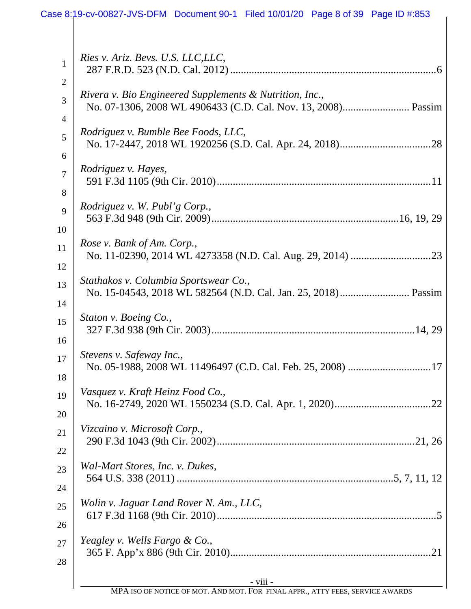| 1              | Ries v. Ariz. Bevs. U.S. LLC, LLC,                         |
|----------------|------------------------------------------------------------|
| $\overline{2}$ | Rivera v. Bio Engineered Supplements & Nutrition, Inc.,    |
| 3              |                                                            |
| $\overline{4}$ | Rodriguez v. Bumble Bee Foods, LLC,                        |
| 5              |                                                            |
| 6              | Rodriguez v. Hayes,                                        |
| $\overline{7}$ |                                                            |
| 8              | <i>Rodriguez v. W. Publ'g Corp.,</i>                       |
| 9              |                                                            |
| 10<br>11<br>12 | Rose v. Bank of Am. Corp.,                                 |
| 13             | Stathakos v. Columbia Sportswear Co.,                      |
| 14             |                                                            |
| 15             | Staton v. Boeing Co.,                                      |
| 16             |                                                            |
| 17             | Stevens v. Safeway Inc.,                                   |
| 18             | No. 05-1988, 2008 WL 11496497 (C.D. Cal. Feb. 25, 2008) 17 |
| 19             | Vasquez v. Kraft Heinz Food Co.,                           |
| 20             |                                                            |
| 21             | Vizcaino v. Microsoft Corp.,                               |
| 22             |                                                            |
| 23             | Wal-Mart Stores, Inc. v. Dukes,                            |
| 24             |                                                            |
| 25             | Wolin v. Jaguar Land Rover N. Am., LLC,                    |
| 26             |                                                            |
| 27             | Yeagley v. Wells Fargo & Co.,                              |
| 28             | $\overrightarrow{\text{viii}}$ -                           |
|                |                                                            |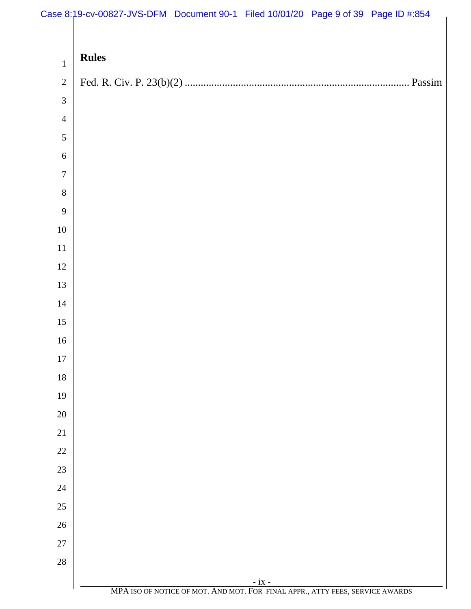# Case 8:19-cv-00827-JVS-DFM Document 90-1 Filed 10/01/20 Page 9 of 39 Page ID #:854

|                                | $\frac{1}{2}$ of $\frac{1}{2}$ of $\frac{1}{2}$ of $\frac{1}{2}$ of $\frac{1}{2}$ of $\frac{1}{2}$ of $\frac{1}{2}$ of $\frac{1}{2}$ of $\frac{1}{2}$ of $\frac{1}{2}$ of $\frac{1}{2}$ of $\frac{1}{2}$ of $\frac{1}{2}$ of $\frac{1}{2}$ of $\frac{1}{2}$ of $\frac{1}{2}$ of $\frac{1}{2}$ of |
|--------------------------------|--------------------------------------------------------------------------------------------------------------------------------------------------------------------------------------------------------------------------------------------------------------------------------------------------|
|                                | <b>Rules</b>                                                                                                                                                                                                                                                                                     |
| $\mathbf{1}$<br>$\overline{2}$ |                                                                                                                                                                                                                                                                                                  |
| $\mathfrak{Z}$                 |                                                                                                                                                                                                                                                                                                  |
| $\overline{4}$                 |                                                                                                                                                                                                                                                                                                  |
| $\sqrt{5}$                     |                                                                                                                                                                                                                                                                                                  |
| $\sqrt{6}$                     |                                                                                                                                                                                                                                                                                                  |
| $\overline{7}$                 |                                                                                                                                                                                                                                                                                                  |
| $8\,$                          |                                                                                                                                                                                                                                                                                                  |
| 9                              |                                                                                                                                                                                                                                                                                                  |
| $10\,$                         |                                                                                                                                                                                                                                                                                                  |
| $11\,$                         |                                                                                                                                                                                                                                                                                                  |
| $12\,$                         |                                                                                                                                                                                                                                                                                                  |
| 13                             |                                                                                                                                                                                                                                                                                                  |
| $14\,$                         |                                                                                                                                                                                                                                                                                                  |
| 15                             |                                                                                                                                                                                                                                                                                                  |
| $16\,$                         |                                                                                                                                                                                                                                                                                                  |
| 17                             |                                                                                                                                                                                                                                                                                                  |
| 18                             |                                                                                                                                                                                                                                                                                                  |
| 19                             |                                                                                                                                                                                                                                                                                                  |
| $20\,$                         |                                                                                                                                                                                                                                                                                                  |
| $21\,$                         |                                                                                                                                                                                                                                                                                                  |
| $22\,$                         |                                                                                                                                                                                                                                                                                                  |
| $23\,$                         |                                                                                                                                                                                                                                                                                                  |
| $24\,$                         |                                                                                                                                                                                                                                                                                                  |
| $25\,$                         |                                                                                                                                                                                                                                                                                                  |
| $26\,$                         |                                                                                                                                                                                                                                                                                                  |
| $27\,$                         |                                                                                                                                                                                                                                                                                                  |
| 28                             |                                                                                                                                                                                                                                                                                                  |
|                                | $\frac{\phantom{1}}{\phantom{1}}$ - ix - MPA ISO OF NOTICE OF MOT. AND MOT. FOR FINAL APPR., ATTY FEES, SERVICE AWARDS                                                                                                                                                                           |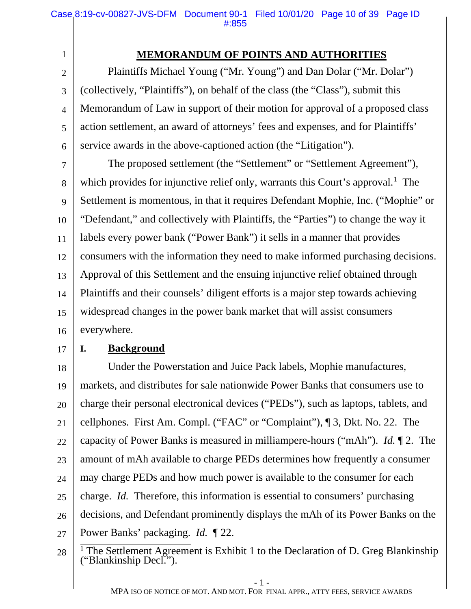# **MEMORANDUM OF POINTS AND AUTHORITIES**

2 3 6 Plaintiffs Michael Young ("Mr. Young") and Dan Dolar ("Mr. Dolar") (collectively, "Plaintiffs"), on behalf of the class (the "Class"), submit this Memorandum of Law in support of their motion for approval of a proposed class action settlement, an award of attorneys' fees and expenses, and for Plaintiffs' service awards in the above-captioned action (the "Litigation").

7 8 9 10 11 12 13 14 15 16 The proposed settlement (the "Settlement" or "Settlement Agreement"), which provides for injunctive relief only, warrants this Court's approval.<sup>1</sup> The Settlement is momentous, in that it requires Defendant Mophie, Inc. ("Mophie" or "Defendant," and collectively with Plaintiffs, the "Parties") to change the way it labels every power bank ("Power Bank") it sells in a manner that provides consumers with the information they need to make informed purchasing decisions. Approval of this Settlement and the ensuing injunctive relief obtained through Plaintiffs and their counsels' diligent efforts is a major step towards achieving widespread changes in the power bank market that will assist consumers everywhere.

17

1

4

5

### **I. Background**

18 19 20 21 22 23 24 25 26 27 Under the Powerstation and Juice Pack labels, Mophie manufactures, markets, and distributes for sale nationwide Power Banks that consumers use to charge their personal electronical devices ("PEDs"), such as laptops, tablets, and cellphones. First Am. Compl. ("FAC" or "Complaint"), ¶ 3, Dkt. No. 22. The capacity of Power Banks is measured in milliampere-hours ("mAh"). *Id.* ¶ 2.The amount of mAh available to charge PEDs determines how frequently a consumer may charge PEDs and how much power is available to the consumer for each charge. *Id.* Therefore, this information is essential to consumers' purchasing decisions, and Defendant prominently displays the mAh of its Power Banks on the Power Banks' packaging. *Id.* ¶ 22.

<sup>28</sup> <sup>1</sup> The Settlement Agreement is Exhibit 1 to the Declaration of D. Greg Blankinship ("Blankinship Decl.").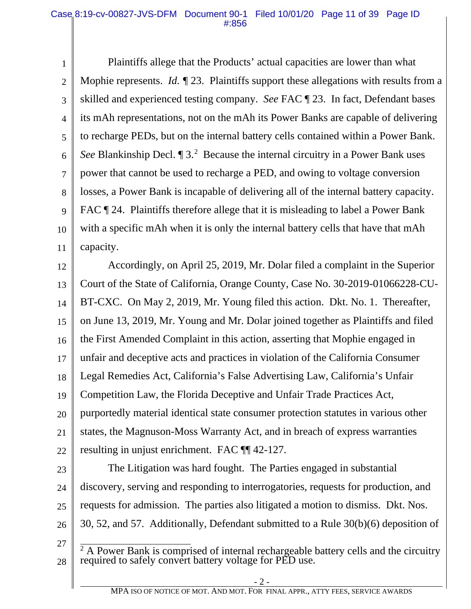1 2 3 4 5 6 7 8 9 10 11 Plaintiffs allege that the Products' actual capacities are lower than what Mophie represents. *Id.* 1 23. Plaintiffs support these allegations with results from a skilled and experienced testing company. *See* FAC ¶ 23. In fact, Defendant bases its mAh representations, not on the mAh its Power Banks are capable of delivering to recharge PEDs, but on the internal battery cells contained within a Power Bank. See Blankinship Decl.  $\P$  3.<sup>2</sup> Because the internal circuitry in a Power Bank uses power that cannot be used to recharge a PED, and owing to voltage conversion losses, a Power Bank is incapable of delivering all of the internal battery capacity. FAC  $\P$  24. Plaintiffs therefore allege that it is misleading to label a Power Bank with a specific mAh when it is only the internal battery cells that have that mAh capacity.

12 13 14 15 16 17 18 19 20 21 22 Accordingly, on April 25, 2019, Mr. Dolar filed a complaint in the Superior Court of the State of California, Orange County, Case No. 30-2019-01066228-CU-BT-CXC. On May 2, 2019, Mr. Young filed this action. Dkt. No. 1. Thereafter, on June 13, 2019, Mr. Young and Mr. Dolar joined together as Plaintiffs and filed the First Amended Complaint in this action, asserting that Mophie engaged in unfair and deceptive acts and practices in violation of the California Consumer Legal Remedies Act, California's False Advertising Law, California's Unfair Competition Law, the Florida Deceptive and Unfair Trade Practices Act, purportedly material identical state consumer protection statutes in various other states, the Magnuson-Moss Warranty Act, and in breach of express warranties resulting in unjust enrichment. FAC ¶¶ 42-127.

- 23
- 24

25

The Litigation was hard fought. The Parties engaged in substantial discovery, serving and responding to interrogatories, requests for production, and requests for admission. The parties also litigated a motion to dismiss. Dkt. Nos. 30, 52, and 57. Additionally, Defendant submitted to a Rule 30(b)(6) deposition of

27

26

28  $2A$  Power Bank is comprised of internal rechargeable battery cells and the circuitry required to safely convert battery voltage for PED use.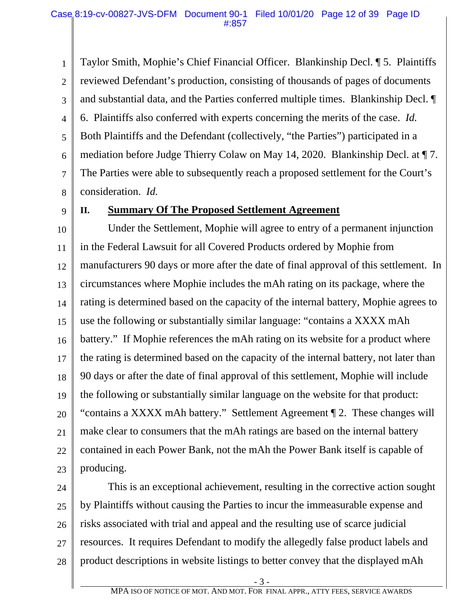1 2 3 4 5 6 7 8 Taylor Smith, Mophie's Chief Financial Officer. Blankinship Decl. ¶ 5. Plaintiffs reviewed Defendant's production, consisting of thousands of pages of documents and substantial data, and the Parties conferred multiple times. Blankinship Decl. ¶ 6. Plaintiffs also conferred with experts concerning the merits of the case. *Id.*  Both Plaintiffs and the Defendant (collectively, "the Parties") participated in a mediation before Judge Thierry Colaw on May 14, 2020. Blankinship Decl. at ¶ 7. The Parties were able to subsequently reach a proposed settlement for the Court's consideration. *Id.* 

9

#### **II. Summary Of The Proposed Settlement Agreement**

10 11 12 13 14 15 16 17 18 19 20 21 22 23 Under the Settlement, Mophie will agree to entry of a permanent injunction in the Federal Lawsuit for all Covered Products ordered by Mophie from manufacturers 90 days or more after the date of final approval of this settlement. In circumstances where Mophie includes the mAh rating on its package, where the rating is determined based on the capacity of the internal battery, Mophie agrees to use the following or substantially similar language: "contains a XXXX mAh battery." If Mophie references the mAh rating on its website for a product where the rating is determined based on the capacity of the internal battery, not later than 90 days or after the date of final approval of this settlement, Mophie will include the following or substantially similar language on the website for that product: "contains a XXXX mAh battery." Settlement Agreement ¶ 2. These changes will make clear to consumers that the mAh ratings are based on the internal battery contained in each Power Bank, not the mAh the Power Bank itself is capable of producing.

24 25 26 27 28 This is an exceptional achievement, resulting in the corrective action sought by Plaintiffs without causing the Parties to incur the immeasurable expense and risks associated with trial and appeal and the resulting use of scarce judicial resources. It requires Defendant to modify the allegedly false product labels and product descriptions in website listings to better convey that the displayed mAh

- 3 -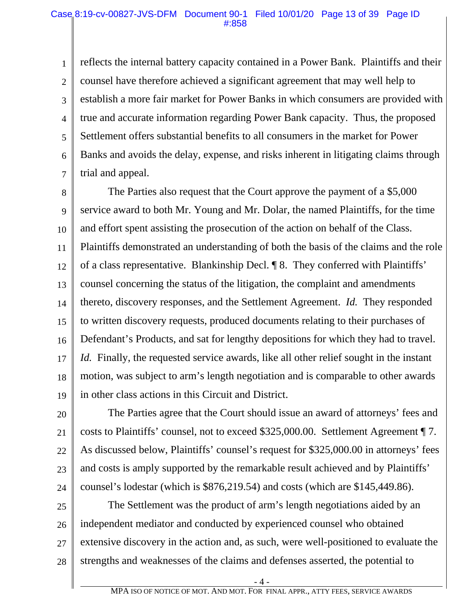1 2 3 4 5 6 7 reflects the internal battery capacity contained in a Power Bank. Plaintiffs and their counsel have therefore achieved a significant agreement that may well help to establish a more fair market for Power Banks in which consumers are provided with true and accurate information regarding Power Bank capacity. Thus, the proposed Settlement offers substantial benefits to all consumers in the market for Power Banks and avoids the delay, expense, and risks inherent in litigating claims through trial and appeal.

8 9 10 11 12 13 14 15 16 17 18 19 The Parties also request that the Court approve the payment of a \$5,000 service award to both Mr. Young and Mr. Dolar, the named Plaintiffs, for the time and effort spent assisting the prosecution of the action on behalf of the Class. Plaintiffs demonstrated an understanding of both the basis of the claims and the role of a class representative. Blankinship Decl. ¶ 8. They conferred with Plaintiffs' counsel concerning the status of the litigation, the complaint and amendments thereto, discovery responses, and the Settlement Agreement. *Id.* They responded to written discovery requests, produced documents relating to their purchases of Defendant's Products, and sat for lengthy depositions for which they had to travel. *Id.* Finally, the requested service awards, like all other relief sought in the instant motion, was subject to arm's length negotiation and is comparable to other awards in other class actions in this Circuit and District.

20 21 22 23 24 The Parties agree that the Court should issue an award of attorneys' fees and costs to Plaintiffs' counsel, not to exceed \$325,000.00. Settlement Agreement ¶ 7. As discussed below, Plaintiffs' counsel's request for \$325,000.00 in attorneys' fees and costs is amply supported by the remarkable result achieved and by Plaintiffs' counsel's lodestar (which is \$876,219.54) and costs (which are \$145,449.86).

25 26 27 28 The Settlement was the product of arm's length negotiations aided by an independent mediator and conducted by experienced counsel who obtained extensive discovery in the action and, as such, were well-positioned to evaluate the strengths and weaknesses of the claims and defenses asserted, the potential to

- 4 -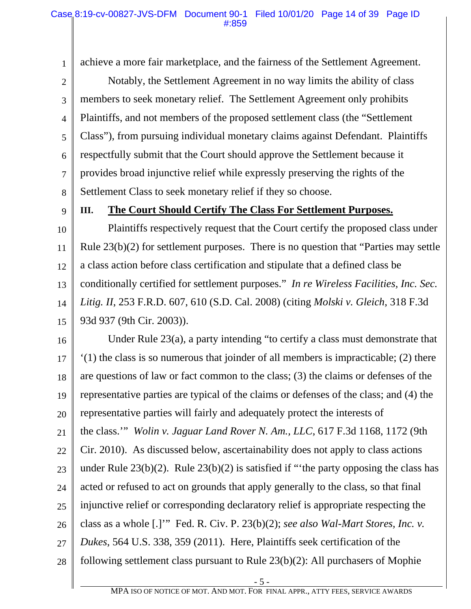1 2 3 4 5 6 7 8 achieve a more fair marketplace, and the fairness of the Settlement Agreement. Notably, the Settlement Agreement in no way limits the ability of class members to seek monetary relief. The Settlement Agreement only prohibits Plaintiffs, and not members of the proposed settlement class (the "Settlement Class"), from pursuing individual monetary claims against Defendant. Plaintiffs respectfully submit that the Court should approve the Settlement because it provides broad injunctive relief while expressly preserving the rights of the Settlement Class to seek monetary relief if they so choose.

9

#### **III. The Court Should Certify The Class For Settlement Purposes.**

10 11 12 13 14 15 Plaintiffs respectively request that the Court certify the proposed class under Rule 23(b)(2) for settlement purposes. There is no question that "Parties may settle a class action before class certification and stipulate that a defined class be conditionally certified for settlement purposes." *In re Wireless Facilities, Inc. Sec. Litig. II*, 253 F.R.D. 607, 610 (S.D. Cal. 2008) (citing *Molski v. Gleich*, 318 F.3d 93d 937 (9th Cir. 2003)).

16 17 18 19 20 21 22 23 24 25 26 27 28 Under Rule 23(a), a party intending "to certify a class must demonstrate that '(1) the class is so numerous that joinder of all members is impracticable; (2) there are questions of law or fact common to the class; (3) the claims or defenses of the representative parties are typical of the claims or defenses of the class; and (4) the representative parties will fairly and adequately protect the interests of the class.'" *Wolin v. Jaguar Land Rover N. Am., LLC*, 617 F.3d 1168, 1172 (9th Cir. 2010). As discussed below, ascertainability does not apply to class actions under Rule  $23(b)(2)$ . Rule  $23(b)(2)$  is satisfied if "the party opposing the class has acted or refused to act on grounds that apply generally to the class, so that final injunctive relief or corresponding declaratory relief is appropriate respecting the class as a whole [.]'" Fed. R. Civ. P. 23(b)(2); *see also Wal-Mart Stores, Inc. v. Dukes*, 564 U.S. 338, 359 (2011). Here, Plaintiffs seek certification of the following settlement class pursuant to Rule 23(b)(2): All purchasers of Mophie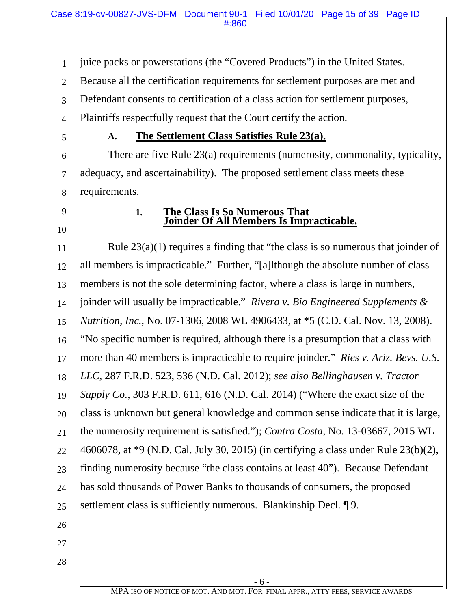1 juice packs or powerstations (the "Covered Products") in the United States.

2 Because all the certification requirements for settlement purposes are met and

3 Defendant consents to certification of a class action for settlement purposes,

4 Plaintiffs respectfully request that the Court certify the action.

5

### **A. The Settlement Class Satisfies Rule 23(a).**

6 7 8 There are five Rule 23(a) requirements (numerosity, commonality, typicality, adequacy, and ascertainability). The proposed settlement class meets these requirements.

9

10

#### **1. The Class Is So Numerous That Joinder Of All Members Is Impracticable.**

11 12 13 14 15 16 17 18 19 20 21 22 23 24 25 26 27 28 Rule 23(a)(1) requires a finding that "the class is so numerous that joinder of all members is impracticable." Further, "[a]lthough the absolute number of class members is not the sole determining factor, where a class is large in numbers, joinder will usually be impracticable." *Rivera v. Bio Engineered Supplements & Nutrition, Inc.*, No. 07-1306, 2008 WL 4906433, at \*5 (C.D. Cal. Nov. 13, 2008). "No specific number is required, although there is a presumption that a class with more than 40 members is impracticable to require joinder." *Ries v. Ariz. Bevs. U.S. LLC*, 287 F.R.D. 523, 536 (N.D. Cal. 2012); *see also Bellinghausen v. Tractor Supply Co.*, 303 F.R.D. 611, 616 (N.D. Cal. 2014) ("Where the exact size of the class is unknown but general knowledge and common sense indicate that it is large, the numerosity requirement is satisfied."); *Contra Costa*, No. 13-03667, 2015 WL 4606078, at \*9 (N.D. Cal. July 30, 2015) (in certifying a class under Rule 23(b)(2), finding numerosity because "the class contains at least 40"). Because Defendant has sold thousands of Power Banks to thousands of consumers, the proposed settlement class is sufficiently numerous. Blankinship Decl. ¶ 9.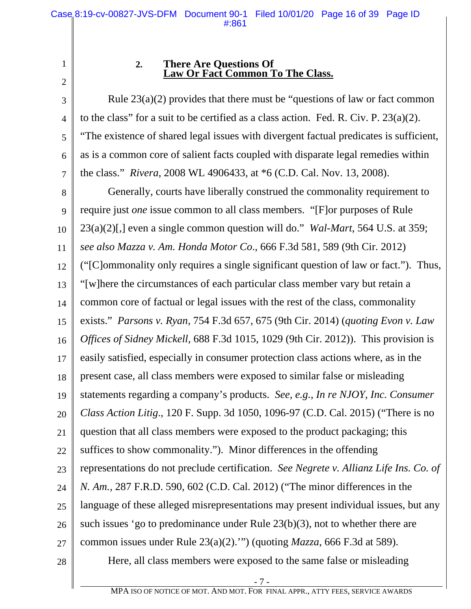3

4

5

6

7

# **2. There Are Questions Of Law Or Fact Common To The Class.**

Rule  $23(a)(2)$  provides that there must be "questions of law or fact common to the class" for a suit to be certified as a class action. Fed. R. Civ. P.  $23(a)(2)$ . "The existence of shared legal issues with divergent factual predicates is sufficient, as is a common core of salient facts coupled with disparate legal remedies within the class." *Rivera*, 2008 WL 4906433, at \*6 (C.D. Cal. Nov. 13, 2008).

8 9 10 11 12 13 14 15 16 17 18 19 20 21 22 23 24 25 26 27 28 Generally, courts have liberally construed the commonality requirement to require just *one* issue common to all class members. "[F]or purposes of Rule 23(a)(2)[,] even a single common question will do." *Wal-Mart*, 564 U.S. at 359; *see also Mazza v. Am. Honda Motor Co*., 666 F.3d 581, 589 (9th Cir. 2012) ("[C]ommonality only requires a single significant question of law or fact."). Thus, "[w]here the circumstances of each particular class member vary but retain a common core of factual or legal issues with the rest of the class, commonality exists." *Parsons v. Ryan*, 754 F.3d 657, 675 (9th Cir. 2014) (*quoting Evon v. Law Offices of Sidney Mickell*, 688 F.3d 1015, 1029 (9th Cir. 2012)). This provision is easily satisfied, especially in consumer protection class actions where, as in the present case, all class members were exposed to similar false or misleading statements regarding a company's products. *See, e.g.*, *In re NJOY, Inc. Consumer Class Action Litig*., 120 F. Supp. 3d 1050, 1096-97 (C.D. Cal. 2015) ("There is no question that all class members were exposed to the product packaging; this suffices to show commonality."). Minor differences in the offending representations do not preclude certification. *See Negrete v. Allianz Life Ins. Co. of N. Am.*, 287 F.R.D. 590, 602 (C.D. Cal. 2012) ("The minor differences in the language of these alleged misrepresentations may present individual issues, but any such issues 'go to predominance under Rule 23(b)(3), not to whether there are common issues under Rule 23(a)(2).'") (quoting *Mazza*, 666 F.3d at 589). Here, all class members were exposed to the same false or misleading

<sup>1</sup> 2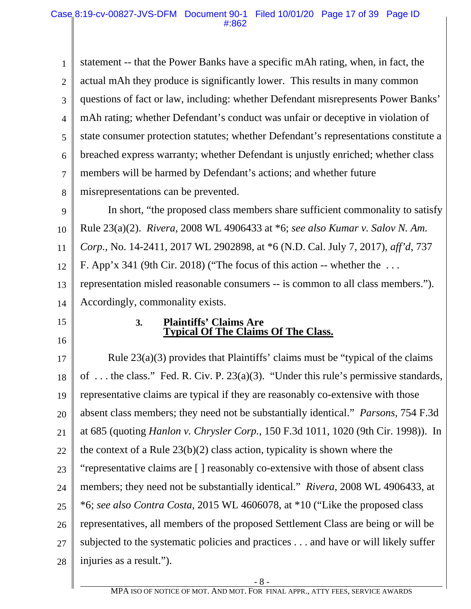1 2 3 4 5 6 7 8 statement -- that the Power Banks have a specific mAh rating, when, in fact, the actual mAh they produce is significantly lower. This results in many common questions of fact or law, including: whether Defendant misrepresents Power Banks' mAh rating; whether Defendant's conduct was unfair or deceptive in violation of state consumer protection statutes; whether Defendant's representations constitute a breached express warranty; whether Defendant is unjustly enriched; whether class members will be harmed by Defendant's actions; and whether future misrepresentations can be prevented.

9 10 11 12 13 14 In short, "the proposed class members share sufficient commonality to satisfy Rule 23(a)(2). *Rivera*, 2008 WL 4906433 at \*6; *see also Kumar v. Salov N. Am. Corp.*, No. 14-2411, 2017 WL 2902898, at \*6 (N.D. Cal. July 7, 2017), *aff'd*, 737 F. App'x 341 (9th Cir. 2018) ("The focus of this action -- whether the  $\dots$ representation misled reasonable consumers -- is common to all class members."). Accordingly, commonality exists.

15

16

#### **3. Plaintiffs' Claims Are Typical Of The Claims Of The Class.**

17 18 19 20 21 22 23 24 25 26 27 28 Rule 23(a)(3) provides that Plaintiffs' claims must be "typical of the claims of . . . the class." Fed. R. Civ. P. 23(a)(3). "Under this rule's permissive standards, representative claims are typical if they are reasonably co-extensive with those absent class members; they need not be substantially identical." *Parsons*, 754 F.3d at 685 (quoting *Hanlon v. Chrysler Corp.*, 150 F.3d 1011, 1020 (9th Cir. 1998)). In the context of a Rule 23(b)(2) class action, typicality is shown where the "representative claims are [ ] reasonably co-extensive with those of absent class members; they need not be substantially identical." *Rivera*, 2008 WL 4906433, at \*6; *see also Contra Costa*, 2015 WL 4606078, at \*10 ("Like the proposed class representatives, all members of the proposed Settlement Class are being or will be subjected to the systematic policies and practices . . . and have or will likely suffer injuries as a result.").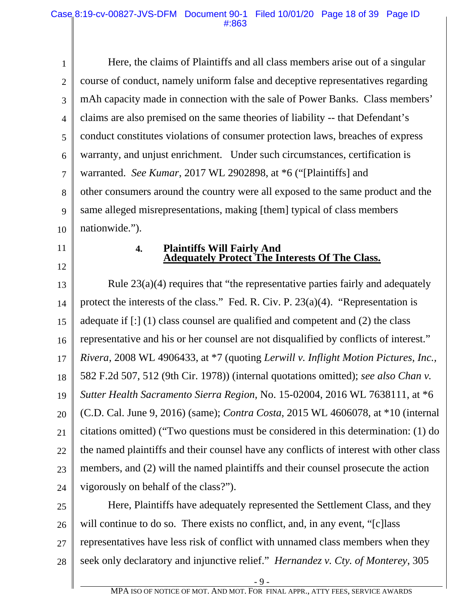1 2 3 4 5 6 7 8 9 10 Here, the claims of Plaintiffs and all class members arise out of a singular course of conduct, namely uniform false and deceptive representatives regarding mAh capacity made in connection with the sale of Power Banks. Class members' claims are also premised on the same theories of liability -- that Defendant's conduct constitutes violations of consumer protection laws, breaches of express warranty, and unjust enrichment. Under such circumstances, certification is warranted. *See Kumar*, 2017 WL 2902898, at \*6 ("[Plaintiffs] and other consumers around the country were all exposed to the same product and the same alleged misrepresentations, making [them] typical of class members nationwide.").

11

12

#### **4. Plaintiffs Will Fairly And Adequately Protect The Interests Of The Class.**

13 14 15 16 17 18 19 20 21 22 23 24 Rule 23(a)(4) requires that "the representative parties fairly and adequately protect the interests of the class." Fed. R. Civ. P.  $23(a)(4)$ . "Representation is adequate if [:] (1) class counsel are qualified and competent and (2) the class representative and his or her counsel are not disqualified by conflicts of interest." *Rivera*, 2008 WL 4906433, at \*7 (quoting *Lerwill v. Inflight Motion Pictures, Inc.,* 582 F.2d 507, 512 (9th Cir. 1978)) (internal quotations omitted); *see also Chan v. Sutter Health Sacramento Sierra Region*, No. 15-02004, 2016 WL 7638111, at \*6 (C.D. Cal. June 9, 2016) (same); *Contra Costa*, 2015 WL 4606078, at \*10 (internal citations omitted) ("Two questions must be considered in this determination: (1) do the named plaintiffs and their counsel have any conflicts of interest with other class members, and (2) will the named plaintiffs and their counsel prosecute the action vigorously on behalf of the class?").

25 26 27 28 Here, Plaintiffs have adequately represented the Settlement Class, and they will continue to do so. There exists no conflict, and, in any event, "[c] lass representatives have less risk of conflict with unnamed class members when they seek only declaratory and injunctive relief." *Hernandez v. Cty. of Monterey*, 305

- 9 -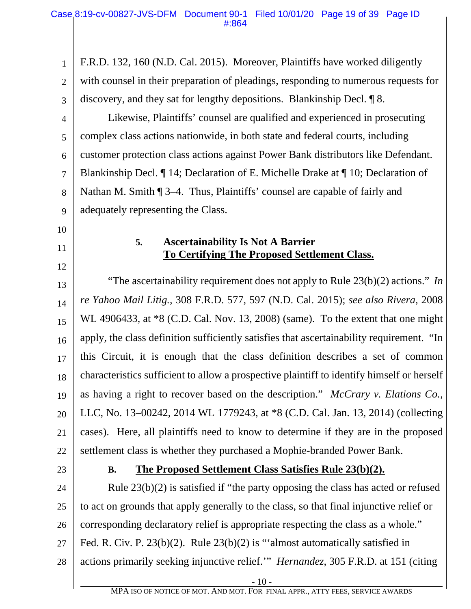1 2 3 4 5 6 7 8 9 10 11 12 13 14 15 16 17 18 19 20 21 22 23 24 25 26 27 28 - 10 - F.R.D. 132, 160 (N.D. Cal. 2015). Moreover, Plaintiffs have worked diligently with counsel in their preparation of pleadings, responding to numerous requests for discovery, and they sat for lengthy depositions. Blankinship Decl. ¶ 8. Likewise, Plaintiffs' counsel are qualified and experienced in prosecuting complex class actions nationwide, in both state and federal courts, including customer protection class actions against Power Bank distributors like Defendant. Blankinship Decl. ¶ 14; Declaration of E. Michelle Drake at ¶ 10; Declaration of Nathan M. Smith ¶ 3–4. Thus, Plaintiffs' counsel are capable of fairly and adequately representing the Class. **5. Ascertainability Is Not A Barrier To Certifying The Proposed Settlement Class.** "The ascertainability requirement does not apply to Rule 23(b)(2) actions." *In re Yahoo Mail Litig.*, 308 F.R.D. 577, 597 (N.D. Cal. 2015); *see also Rivera*, 2008 WL 4906433, at  $*8$  (C.D. Cal. Nov. 13, 2008) (same). To the extent that one might apply, the class definition sufficiently satisfies that ascertainability requirement. "In this Circuit, it is enough that the class definition describes a set of common characteristics sufficient to allow a prospective plaintiff to identify himself or herself as having a right to recover based on the description." *McCrary v. Elations Co.,*  LLC, No. 13–00242, 2014 WL 1779243, at \*8 (C.D. Cal. Jan. 13, 2014) (collecting cases). Here, all plaintiffs need to know to determine if they are in the proposed settlement class is whether they purchased a Mophie-branded Power Bank. **B. The Proposed Settlement Class Satisfies Rule 23(b)(2).** Rule 23(b)(2) is satisfied if "the party opposing the class has acted or refused to act on grounds that apply generally to the class, so that final injunctive relief or corresponding declaratory relief is appropriate respecting the class as a whole." Fed. R. Civ. P. 23(b)(2). Rule 23(b)(2) is "'almost automatically satisfied in actions primarily seeking injunctive relief.'" *Hernandez*, 305 F.R.D. at 151 (citing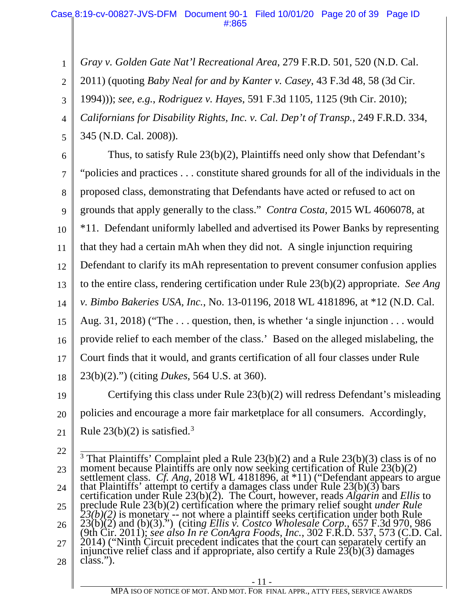*Gray v. Golden Gate Nat'l Recreational Area*, 279 F.R.D. 501, 520 (N.D. Cal.

2 2011) (quoting *Baby Neal for and by Kanter v. Casey*, 43 F.3d 48, 58 (3d Cir.

1994))); *see, e.g.*, *Rodriguez v. Hayes*, 591 F.3d 1105, 1125 (9th Cir. 2010);

*Californians for Disability Rights, Inc. v. Cal. Dep't of Transp.*, 249 F.R.D. 334,

345 (N.D. Cal. 2008)).

1

3

4

5

6 7 8 9 10 11 12 13 14 15 16 17 18 Thus, to satisfy Rule 23(b)(2), Plaintiffs need only show that Defendant's "policies and practices . . . constitute shared grounds for all of the individuals in the proposed class, demonstrating that Defendants have acted or refused to act on grounds that apply generally to the class." *Contra Costa*, 2015 WL 4606078, at \*11. Defendant uniformly labelled and advertised its Power Banks by representing that they had a certain mAh when they did not. A single injunction requiring Defendant to clarify its mAh representation to prevent consumer confusion applies to the entire class, rendering certification under Rule 23(b)(2) appropriate. *See Ang v. Bimbo Bakeries USA, Inc.*, No. 13-01196, 2018 WL 4181896, at \*12 (N.D. Cal. Aug. 31, 2018) ("The . . . question, then, is whether 'a single injunction . . . would provide relief to each member of the class.' Based on the alleged mislabeling, the Court finds that it would, and grants certification of all four classes under Rule 23(b)(2).") (citing *Dukes*, 564 U.S. at 360).

19 20 21 Certifying this class under Rule 23(b)(2) will redress Defendant's misleading policies and encourage a more fair marketplace for all consumers. Accordingly, Rule  $23(b)(2)$  is satisfied.<sup>3</sup>

22

23 24 25 26 27 28 <sup>3</sup> That Plaintiffs' Complaint pled a Rule 23(b)(2) and a Rule 23(b)(3) class is of no moment because Plaintiffs are only now seeking certification of Rule 23(b)(2) settlement class. *Cf. Ang*, 2018 WL 4181896, at \*11) (" settlement class. *Cf. Ang*, 2018 WL 4181896, at \*11) ("Defendant appears to argue that Plaintiffs' attempt to certify a damages class under Rule 23(b)(3) bars certification under Rule 23(b)(2). The Court, however, reads preclude Rule 23(b)(2) certification where the primary relief sought *under Rule 23(b)(2)* is monetary -- not where a plaintiff seeks certification under both Rule 23(b)(2) and (b)(3).") (citin*g Ellis v. Costco Wholesale Corp.*, 657 F.3d 970, 986 (9th Cir. 2011); see also In re ConAgra Foods, Inc., 302 F.R.D. 537, 573 (C.D. Cal. 2014) ("Ninth Circuit precedent indicates that the court can separately certify an injunctive relief class and if appropriate, also certi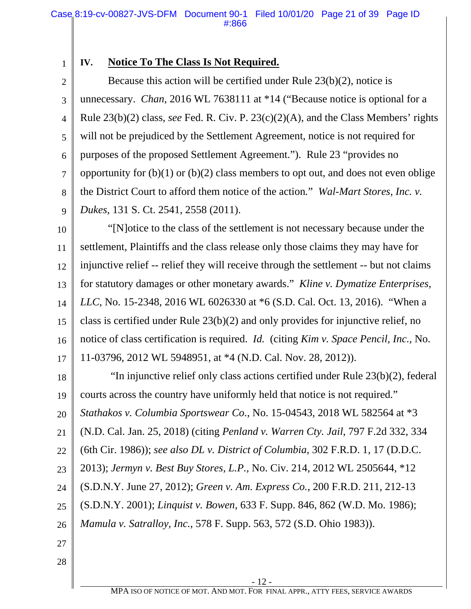1

## **IV. Notice To The Class Is Not Required.**

2 3 4 5 6 7 8 9 Because this action will be certified under Rule 23(b)(2), notice is unnecessary. *Chan*, 2016 WL 7638111 at \*14 ("Because notice is optional for a Rule 23(b)(2) class, *see* Fed. R. Civ. P. 23(c)(2)(A), and the Class Members' rights will not be prejudiced by the Settlement Agreement, notice is not required for purposes of the proposed Settlement Agreement.").Rule 23 "provides no opportunity for  $(b)(1)$  or  $(b)(2)$  class members to opt out, and does not even oblige the District Court to afford them notice of the action*.*" *Wal-Mart Stores, Inc. v. Dukes*, 131 S. Ct. 2541, 2558 (2011).

10 11 12 13 14 15 16 17 "[N]otice to the class of the settlement is not necessary because under the settlement, Plaintiffs and the class release only those claims they may have for injunctive relief -- relief they will receive through the settlement -- but not claims for statutory damages or other monetary awards." *Kline v. Dymatize Enterprises, LLC*, No. 15-2348, 2016 WL 6026330 at \*6 (S.D. Cal. Oct. 13, 2016). "When a class is certified under Rule 23(b)(2) and only provides for injunctive relief, no notice of class certification is required. *Id.* (citing *Kim v. Space Pencil, Inc.*, No. 11-03796, 2012 WL 5948951, at \*4 (N.D. Cal. Nov. 28, 2012)).

18 19 20 21 22 23 24 25 26 "In injunctive relief only class actions certified under Rule 23(b)(2), federal courts across the country have uniformly held that notice is not required." *Stathakos v. Columbia Sportswear Co.*, No. 15-04543, 2018 WL 582564 at \*3 (N.D. Cal. Jan. 25, 2018) (citing *Penland v. Warren Cty. Jail*, 797 F.2d 332, 334 (6th Cir. 1986)); *see also DL v. District of Columbia*, 302 F.R.D. 1, 17 (D.D.C. 2013); *Jermyn v. Best Buy Stores, L.P.*, No. Civ. 214, 2012 WL 2505644, \*12 (S.D.N.Y. June 27, 2012); *Green v. Am. Express Co.*, 200 F.R.D. 211, 212-13 (S.D.N.Y. 2001); *Linquist v. Bowen*, 633 F. Supp. 846, 862 (W.D. Mo. 1986); *Mamula v. Satralloy, Inc.*, 578 F. Supp. 563, 572 (S.D. Ohio 1983)).

- 27
- 28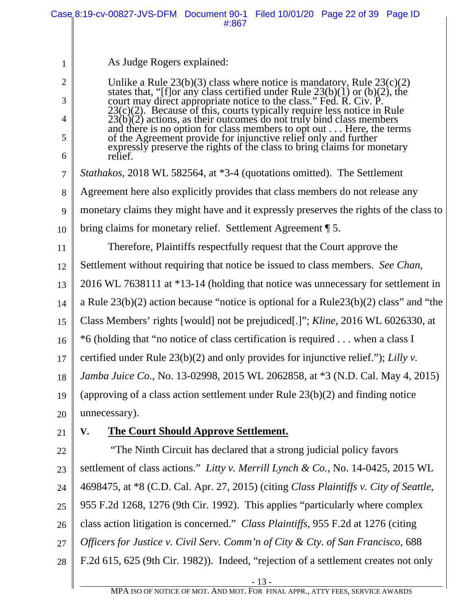|                | Case 8:19-cv-00827-JVS-DFM Document 90-1 Filed 10/01/20 Page 22 of 39 Page ID<br>#:867                                                                                                                                     |
|----------------|----------------------------------------------------------------------------------------------------------------------------------------------------------------------------------------------------------------------------|
|                |                                                                                                                                                                                                                            |
| 1              | As Judge Rogers explained:                                                                                                                                                                                                 |
| $\overline{2}$ | Unlike a Rule $23(b)(3)$ class where notice is mandatory, Rule $23(c)(2)$                                                                                                                                                  |
| 3              | states that, "[f] or any class certified under Rule $23(b)(1)$ or $(b)(2)$ , the<br>court may direct appropriate notice to the class." Fed. R. Civ. P.                                                                     |
| 4              | $23(c)(2)$ . Because of this, courts typically require less notice in Rule<br>$23(b)(2)$ actions, as their outcomes do not truly bind class members<br>and there is no option for class members to opt out Here, the terms |
| 5              | of the Agreement provide for injunctive relief only and further<br>expressly preserve the rights of the class to bring claims for monetary                                                                                 |
| 6              | relief.                                                                                                                                                                                                                    |
| 7              | <i>Stathakos</i> , 2018 WL 582564, at *3-4 (quotations omitted). The Settlement                                                                                                                                            |
| 8              | Agreement here also explicitly provides that class members do not release any                                                                                                                                              |
| 9              | monetary claims they might have and it expressly preserves the rights of the class to                                                                                                                                      |
| 10             | bring claims for monetary relief. Settlement Agreement 15.                                                                                                                                                                 |
| 11             | Therefore, Plaintiffs respectfully request that the Court approve the                                                                                                                                                      |
| 12             | Settlement without requiring that notice be issued to class members. See Chan,                                                                                                                                             |
| 13             | 2016 WL 7638111 at *13-14 (holding that notice was unnecessary for settlement in                                                                                                                                           |
| 14             | a Rule $23(b)(2)$ action because "notice is optional for a Rule $23(b)(2)$ class" and "the                                                                                                                                 |
| 15             | Class Members' rights [would] not be prejudiced[.]"; Kline, 2016 WL 6026330, at                                                                                                                                            |
| 16             | *6 (holding that "no notice of class certification is required when a class I                                                                                                                                              |
| 17             | certified under Rule $23(b)(2)$ and only provides for injunctive relief."); Lilly v.                                                                                                                                       |
| 18             | Jamba Juice Co., No. 13-02998, 2015 WL 2062858, at *3 (N.D. Cal. May 4, 2015)                                                                                                                                              |
| 19             | (approving of a class action settlement under Rule $23(b)(2)$ and finding notice                                                                                                                                           |
| 20             | unnecessary).                                                                                                                                                                                                              |
| 21             | <b>The Court Should Approve Settlement.</b><br>V.                                                                                                                                                                          |
| 22             | "The Ninth Circuit has declared that a strong judicial policy favors                                                                                                                                                       |
| 23             | settlement of class actions." Litty v. Merrill Lynch & Co., No. 14-0425, 2015 WL                                                                                                                                           |
| 24             | 4698475, at *8 (C.D. Cal. Apr. 27, 2015) (citing Class Plaintiffs v. City of Seattle,                                                                                                                                      |
| 25             | 955 F.2d 1268, 1276 (9th Cir. 1992). This applies "particularly where complex                                                                                                                                              |
| 26             | class action litigation is concerned." Class Plaintiffs, 955 F.2d at 1276 (citing                                                                                                                                          |
| 27             | Officers for Justice v. Civil Serv. Comm'n of City & Cty. of San Francisco, 688                                                                                                                                            |
| 28             | F.2d 615, 625 (9th Cir. 1982)). Indeed, "rejection of a settlement creates not only                                                                                                                                        |
|                | $-13-$                                                                                                                                                                                                                     |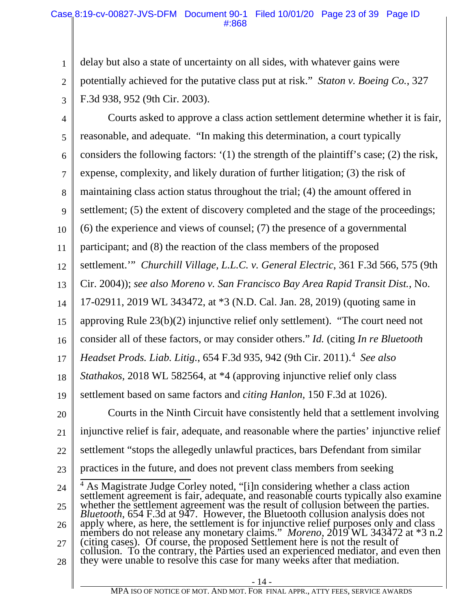1 2 3 delay but also a state of uncertainty on all sides, with whatever gains were potentially achieved for the putative class put at risk." *Staton v. Boeing Co.*, 327 F.3d 938, 952 (9th Cir. 2003).

4 5 6 7 8 9 10 11 12 13 14 15 16 17 18 19 20 21 22 23 24 25 26 27 28 Courts asked to approve a class action settlement determine whether it is fair, reasonable, and adequate. "In making this determination, a court typically considers the following factors: '(1) the strength of the plaintiff's case; (2) the risk, expense, complexity, and likely duration of further litigation; (3) the risk of maintaining class action status throughout the trial; (4) the amount offered in settlement; (5) the extent of discovery completed and the stage of the proceedings; (6) the experience and views of counsel; (7) the presence of a governmental participant; and (8) the reaction of the class members of the proposed settlement.'" *Churchill Village, L.L.C. v. General Electric*, 361 F.3d 566, 575 (9th Cir. 2004)); *see also Moreno v. San Francisco Bay Area Rapid Transit Dist.*, No. 17-02911, 2019 WL 343472, at \*3 (N.D. Cal. Jan. 28, 2019) (quoting same in approving Rule 23(b)(2) injunctive relief only settlement). "The court need not consider all of these factors, or may consider others." *Id.* (citing *In re Bluetooth Headset Prods. Liab. Litig.*, 654 F.3d 935, 942 (9th Cir. 2011).4 *See also Stathakos,* 2018 WL 582564, at \*4 (approving injunctive relief only class settlement based on same factors and *citing Hanlon,* 150 F.3d at 1026). Courts in the Ninth Circuit have consistently held that a settlement involving injunctive relief is fair, adequate, and reasonable where the parties' injunctive relief settlement "stops the allegedly unlawful practices, bars Defendant from similar practices in the future, and does not prevent class members from seeking <sup>4</sup> As Magistrate Judge Corley noted, "[i]n considering whether a class action settlement agreement is fair, adequate, and reasonable courts typically also examine whether the settlement agreement was the result of collusion between the parties. *Bluetooth*, 654 F.3d at 947. However, the Bluetooth collusion analysis does not apply where, as here, the settlement is for injunctive relief purposes only and class members do not release any monetary claims." *Moreno*, (citing cases). Of course, the proposed Settlement here is not the result of collusion. To the contrary, the Parties used an experienced mediator, and even then they were unable to resolve this case for many weeks after that mediation.

MPA ISO OF NOTICE OF MOT. AND MOT. FOR FINAL APPR., ATTY FEES, SERVICE AWARDS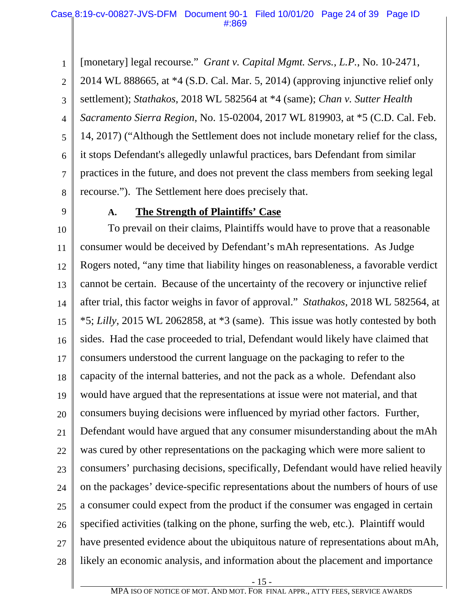1 [monetary] legal recourse." *Grant v. Capital Mgmt. Servs., L.P.*, No. 10-2471,

2 3 4 5 6 7 8 2014 WL 888665, at \*4 (S.D. Cal. Mar. 5, 2014) (approving injunctive relief only settlement); *Stathakos*, 2018 WL 582564 at \*4 (same); *Chan v. Sutter Health Sacramento Sierra Region*, No. 15-02004, 2017 WL 819903, at \*5 (C.D. Cal. Feb. 14, 2017) ("Although the Settlement does not include monetary relief for the class, it stops Defendant's allegedly unlawful practices, bars Defendant from similar practices in the future, and does not prevent the class members from seeking legal recourse."). The Settlement here does precisely that.

9

#### **A. The Strength of Plaintiffs' Case**

10 11 12 13 14 15 16 17 18 19 20 21 22 23 24 25 26 27 28 To prevail on their claims, Plaintiffs would have to prove that a reasonable consumer would be deceived by Defendant's mAh representations. As Judge Rogers noted, "any time that liability hinges on reasonableness, a favorable verdict cannot be certain. Because of the uncertainty of the recovery or injunctive relief after trial, this factor weighs in favor of approval." *Stathakos*, 2018 WL 582564, at \*5; *Lilly*, 2015 WL 2062858, at \*3 (same). This issue was hotly contested by both sides. Had the case proceeded to trial, Defendant would likely have claimed that consumers understood the current language on the packaging to refer to the capacity of the internal batteries, and not the pack as a whole. Defendant also would have argued that the representations at issue were not material, and that consumers buying decisions were influenced by myriad other factors. Further, Defendant would have argued that any consumer misunderstanding about the mAh was cured by other representations on the packaging which were more salient to consumers' purchasing decisions, specifically, Defendant would have relied heavily on the packages' device-specific representations about the numbers of hours of use a consumer could expect from the product if the consumer was engaged in certain specified activities (talking on the phone, surfing the web, etc.). Plaintiff would have presented evidence about the ubiquitous nature of representations about mAh, likely an economic analysis, and information about the placement and importance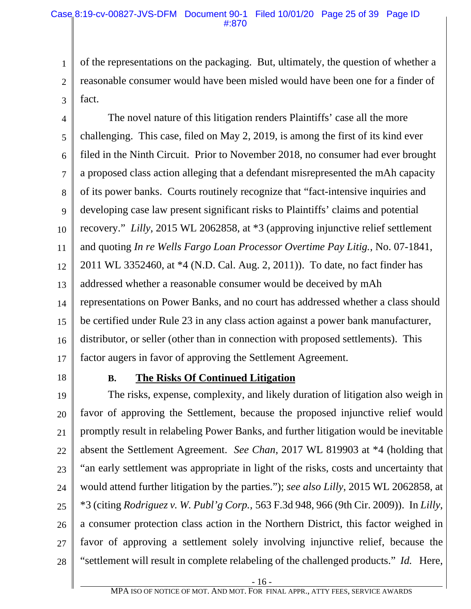1 2 3 of the representations on the packaging. But, ultimately, the question of whether a reasonable consumer would have been misled would have been one for a finder of fact.

4 5 6 7 8 9 10 11 12 13 14 15 16 17 The novel nature of this litigation renders Plaintiffs' case all the more challenging. This case, filed on May 2, 2019, is among the first of its kind ever filed in the Ninth Circuit. Prior to November 2018, no consumer had ever brought a proposed class action alleging that a defendant misrepresented the mAh capacity of its power banks. Courts routinely recognize that "fact-intensive inquiries and developing case law present significant risks to Plaintiffs' claims and potential recovery." *Lilly*, 2015 WL 2062858, at \*3 (approving injunctive relief settlement and quoting *In re Wells Fargo Loan Processor Overtime Pay Litig.*, No. 07-1841, 2011 WL 3352460, at \*4 (N.D. Cal. Aug. 2, 2011)). To date, no fact finder has addressed whether a reasonable consumer would be deceived by mAh representations on Power Banks, and no court has addressed whether a class should be certified under Rule 23 in any class action against a power bank manufacturer, distributor, or seller (other than in connection with proposed settlements). This factor augers in favor of approving the Settlement Agreement.

18

### **B. The Risks Of Continued Litigation**

19 20 21 22 23 24 25 26 27 28 The risks, expense, complexity, and likely duration of litigation also weigh in favor of approving the Settlement, because the proposed injunctive relief would promptly result in relabeling Power Banks, and further litigation would be inevitable absent the Settlement Agreement. *See Chan*, 2017 WL 819903 at \*4 (holding that "an early settlement was appropriate in light of the risks, costs and uncertainty that would attend further litigation by the parties."); *see also Lilly*, 2015 WL 2062858, at \*3 (citing *Rodriguez v. W. Publ'g Corp.,* 563 F.3d 948, 966 (9th Cir. 2009)). In *Lilly*, a consumer protection class action in the Northern District, this factor weighed in favor of approving a settlement solely involving injunctive relief, because the "settlement will result in complete relabeling of the challenged products." *Id.* Here,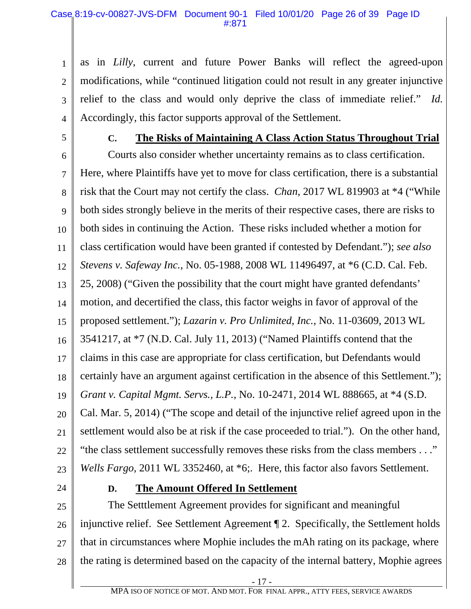1 2 3 4 as in *Lilly*, current and future Power Banks will reflect the agreed-upon modifications, while "continued litigation could not result in any greater injunctive relief to the class and would only deprive the class of immediate relief." *Id.* Accordingly, this factor supports approval of the Settlement.

5

#### **C. The Risks of Maintaining A Class Action Status Throughout Trial**

6 7 8 9 10 11 12 13 14 15 16 17 18 19 20 21 22 23 Courts also consider whether uncertainty remains as to class certification. Here, where Plaintiffs have yet to move for class certification, there is a substantial risk that the Court may not certify the class. *Chan*, 2017 WL 819903 at \*4 ("While both sides strongly believe in the merits of their respective cases, there are risks to both sides in continuing the Action. These risks included whether a motion for class certification would have been granted if contested by Defendant."); *see also Stevens v. Safeway Inc.*, No. 05-1988, 2008 WL 11496497, at \*6 (C.D. Cal. Feb. 25, 2008) ("Given the possibility that the court might have granted defendants' motion, and decertified the class, this factor weighs in favor of approval of the proposed settlement."); *Lazarin v. Pro Unlimited, Inc.*, No. 11-03609, 2013 WL 3541217, at \*7 (N.D. Cal. July 11, 2013) ("Named Plaintiffs contend that the claims in this case are appropriate for class certification, but Defendants would certainly have an argument against certification in the absence of this Settlement."); *Grant v. Capital Mgmt. Servs., L.P.*, No. 10-2471, 2014 WL 888665, at \*4 (S.D. Cal. Mar. 5, 2014) ("The scope and detail of the injunctive relief agreed upon in the settlement would also be at risk if the case proceeded to trial."). On the other hand, "the class settlement successfully removes these risks from the class members . . ." *Wells Fargo*, 2011 WL 3352460, at \*6;. Here, this factor also favors Settlement.

24

### **D. The Amount Offered In Settlement**

25 26 27 28 The Setttlement Agreement provides for significant and meaningful injunctive relief. See Settlement Agreement ¶ 2. Specifically, the Settlement holds that in circumstances where Mophie includes the mAh rating on its package, where the rating is determined based on the capacity of the internal battery, Mophie agrees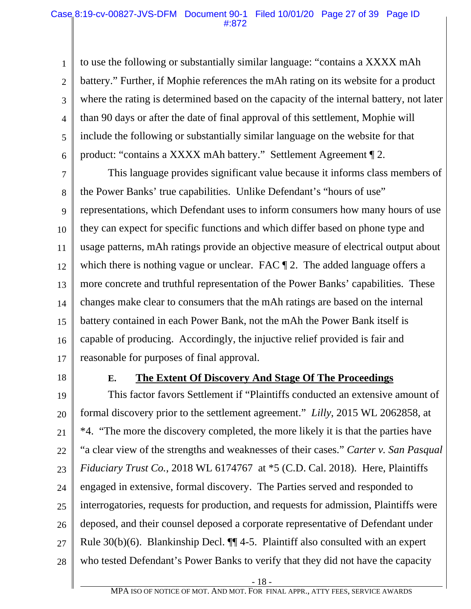1 2 3 4 5 6 to use the following or substantially similar language: "contains a XXXX mAh battery." Further, if Mophie references the mAh rating on its website for a product where the rating is determined based on the capacity of the internal battery, not later than 90 days or after the date of final approval of this settlement, Mophie will include the following or substantially similar language on the website for that product: "contains a XXXX mAh battery." Settlement Agreement ¶ 2.

7 8 9 10 11 12 13 14 15 16 17 This language provides significant value because it informs class members of the Power Banks' true capabilities. Unlike Defendant's "hours of use" representations, which Defendant uses to inform consumers how many hours of use they can expect for specific functions and which differ based on phone type and usage patterns, mAh ratings provide an objective measure of electrical output about which there is nothing vague or unclear. FAC  $\P$  2. The added language offers a more concrete and truthful representation of the Power Banks' capabilities. These changes make clear to consumers that the mAh ratings are based on the internal battery contained in each Power Bank, not the mAh the Power Bank itself is capable of producing. Accordingly, the injuctive relief provided is fair and reasonable for purposes of final approval.

18

### **E. The Extent Of Discovery And Stage Of The Proceedings**

19 20 21 22 23 24 25 26 27 28 This factor favors Settlement if "Plaintiffs conducted an extensive amount of formal discovery prior to the settlement agreement." *Lilly*, 2015 WL 2062858, at \*4. "The more the discovery completed, the more likely it is that the parties have "a clear view of the strengths and weaknesses of their cases." *Carter v. San Pasqual Fiduciary Trust Co.*, 2018 WL 6174767 at \*5 (C.D. Cal. 2018). Here, Plaintiffs engaged in extensive, formal discovery. The Parties served and responded to interrogatories, requests for production, and requests for admission, Plaintiffs were deposed, and their counsel deposed a corporate representative of Defendant under Rule  $30(b)(6)$ . Blankinship Decl.  $\P\P$  4-5. Plaintiff also consulted with an expert who tested Defendant's Power Banks to verify that they did not have the capacity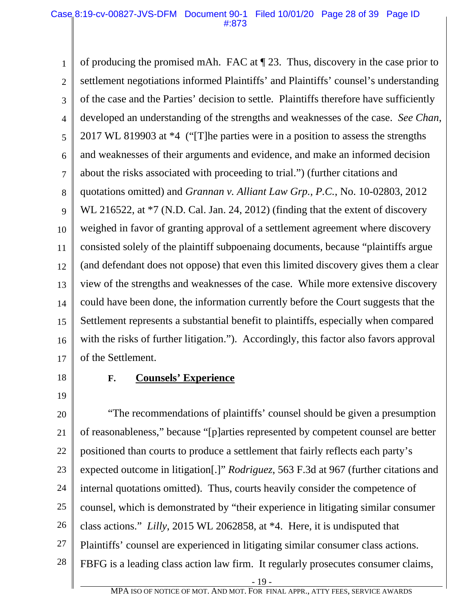1 2 3 4 5 6 7 8 9 10 11 12 13 14 15 16 17 of producing the promised mAh. FAC at ¶ 23. Thus, discovery in the case prior to settlement negotiations informed Plaintiffs' and Plaintiffs' counsel's understanding of the case and the Parties' decision to settle. Plaintiffs therefore have sufficiently developed an understanding of the strengths and weaknesses of the case. *See Chan*, 2017 WL 819903 at \*4 ("[T]he parties were in a position to assess the strengths and weaknesses of their arguments and evidence, and make an informed decision about the risks associated with proceeding to trial.") (further citations and quotations omitted) and *Grannan v. Alliant Law Grp., P.C.*, No. 10-02803, 2012 WL 216522, at  $*7$  (N.D. Cal. Jan. 24, 2012) (finding that the extent of discovery weighed in favor of granting approval of a settlement agreement where discovery consisted solely of the plaintiff subpoenaing documents, because "plaintiffs argue (and defendant does not oppose) that even this limited discovery gives them a clear view of the strengths and weaknesses of the case. While more extensive discovery could have been done, the information currently before the Court suggests that the Settlement represents a substantial benefit to plaintiffs, especially when compared with the risks of further litigation."). Accordingly, this factor also favors approval of the Settlement.

18 19

### **F. Counsels' Experience**

20 21 22 23 24 25 26 27 28 "The recommendations of plaintiffs' counsel should be given a presumption of reasonableness," because "[p]arties represented by competent counsel are better positioned than courts to produce a settlement that fairly reflects each party's expected outcome in litigation[.]" *Rodriguez*, 563 F.3d at 967 (further citations and internal quotations omitted). Thus, courts heavily consider the competence of counsel, which is demonstrated by "their experience in litigating similar consumer class actions." *Lilly*, 2015 WL 2062858, at \*4. Here, it is undisputed that Plaintiffs' counsel are experienced in litigating similar consumer class actions. FBFG is a leading class action law firm. It regularly prosecutes consumer claims,

- 19 -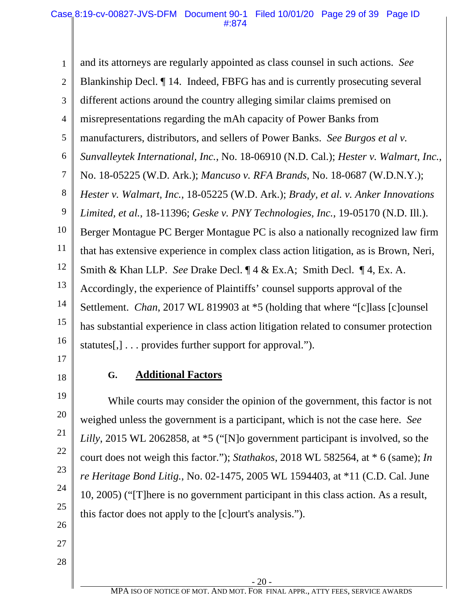1 2 3 4 5 6 7 8 9 10 11 12 13 14 15 16 and its attorneys are regularly appointed as class counsel in such actions. *See* Blankinship Decl. ¶ 14. Indeed, FBFG has and is currently prosecuting several different actions around the country alleging similar claims premised on misrepresentations regarding the mAh capacity of Power Banks from manufacturers, distributors, and sellers of Power Banks. *See Burgos et al v. Sunvalleytek International, Inc.*, No. 18-06910 (N.D. Cal.); *Hester v. Walmart, Inc.*, No. 18-05225 (W.D. Ark.); *Mancuso v. RFA Brands*, No. 18-0687 (W.D.N.Y.); *Hester v. Walmart, Inc.*, 18-05225 (W.D. Ark.); *Brady, et al. v. Anker Innovations Limited, et al.*, 18-11396; *Geske v. PNY Technologies, Inc.*, 19-05170 (N.D. Ill.). Berger Montague PC Berger Montague PC is also a nationally recognized law firm that has extensive experience in complex class action litigation, as is Brown, Neri, Smith & Khan LLP. *See* Drake Decl. ¶ 4 & Ex.A; Smith Decl. ¶ 4, Ex. A. Accordingly, the experience of Plaintiffs' counsel supports approval of the Settlement. *Chan*, 2017 WL 819903 at \*5 (holding that where "[c]lass [c]ounsel has substantial experience in class action litigation related to consumer protection statutes[,] . . . provides further support for approval.").

17

18

19

20

21

22

23

24

25

26

# **G. Additional Factors**

While courts may consider the opinion of the government, this factor is not weighed unless the government is a participant, which is not the case here. *See Lilly*, 2015 WL 2062858, at \*5 ("[N]o government participant is involved, so the court does not weigh this factor."); *Stathakos*, 2018 WL 582564, at \* 6 (same); *In re Heritage Bond Litig.*, No. 02-1475, 2005 WL 1594403, at \*11 (C.D. Cal. June 10, 2005) ("[T]here is no government participant in this class action. As a result, this factor does not apply to the [c]ourt's analysis.").

27

28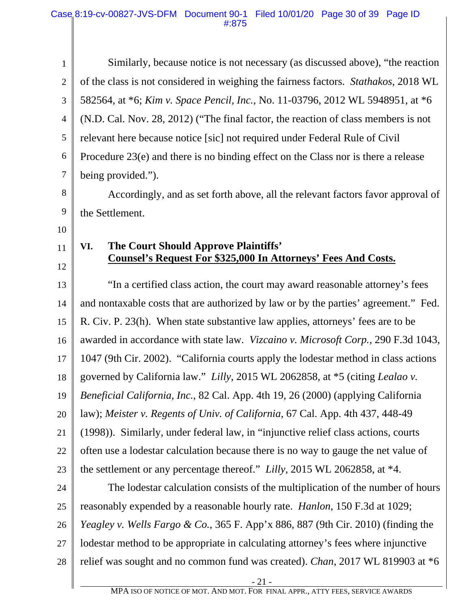| $\mathbf{1}$   | Similarly, because notice is not necessary (as discussed above), "the reaction                                      |
|----------------|---------------------------------------------------------------------------------------------------------------------|
| $\overline{2}$ | of the class is not considered in weighing the fairness factors. <i>Stathakos</i> , 2018 WL                         |
| 3              | 582564, at *6; Kim v. Space Pencil, Inc., No. 11-03796, 2012 WL 5948951, at *6                                      |
| $\overline{4}$ | (N.D. Cal. Nov. 28, 2012) ("The final factor, the reaction of class members is not                                  |
| 5              | relevant here because notice [sic] not required under Federal Rule of Civil                                         |
| 6              | Procedure $23(e)$ and there is no binding effect on the Class nor is there a release                                |
| 7              | being provided.").                                                                                                  |
| 8              | Accordingly, and as set forth above, all the relevant factors favor approval of                                     |
| 9              | the Settlement.                                                                                                     |
| 10             |                                                                                                                     |
| 11             | The Court Should Approve Plaintiffs'<br>VI.<br><b>Counsel's Request For \$325,000 In Attorneys' Fees And Costs.</b> |
| 12             |                                                                                                                     |
| 13             | "In a certified class action, the court may award reasonable attorney's fees                                        |
| 14             | and nontaxable costs that are authorized by law or by the parties' agreement." Fed.                                 |
| 15             | R. Civ. P. 23(h). When state substantive law applies, attorneys' fees are to be                                     |
| 16             | awarded in accordance with state law. Vizcaino v. Microsoft Corp., 290 F.3d 1043,                                   |
| 17             | 1047 (9th Cir. 2002). "California courts apply the lodestar method in class actions                                 |
| 18             | governed by California law." Lilly, 2015 WL 2062858, at *5 (citing Lealao v.                                        |
| 19             | Beneficial California, Inc., 82 Cal. App. 4th 19, 26 (2000) (applying California                                    |
| 20             | law); Meister v. Regents of Univ. of California, 67 Cal. App. 4th 437, 448-49                                       |
| 21             | (1998)). Similarly, under federal law, in "injunctive relief class actions, courts                                  |
| 22             | often use a lodestar calculation because there is no way to gauge the net value of                                  |
| 23             | the settlement or any percentage thereof." Lilly, 2015 WL 2062858, at *4.                                           |
| 24             | The lodestar calculation consists of the multiplication of the number of hours                                      |
| 25             | reasonably expended by a reasonable hourly rate. <i>Hanlon</i> , 150 F.3d at 1029;                                  |
| 26             | <i>Yeagley v. Wells Fargo &amp; Co.</i> , 365 F. App'x 886, 887 (9th Cir. 2010) (finding the                        |
| 27             | lodestar method to be appropriate in calculating attorney's fees where injunctive                                   |
| 28             | relief was sought and no common fund was created). Chan, 2017 WL 819903 at *6                                       |
|                |                                                                                                                     |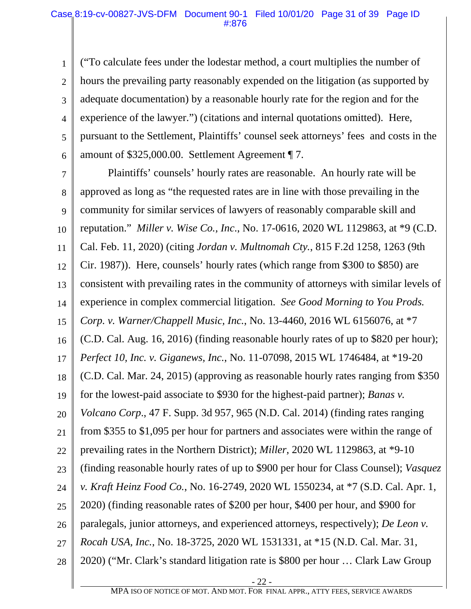1 2 3 4 5 6 ("To calculate fees under the lodestar method, a court multiplies the number of hours the prevailing party reasonably expended on the litigation (as supported by adequate documentation) by a reasonable hourly rate for the region and for the experience of the lawyer.") (citations and internal quotations omitted). Here, pursuant to the Settlement, Plaintiffs' counsel seek attorneys' fees and costs in the amount of \$325,000.00. Settlement Agreement ¶ 7.

7 8 9 10 11 12 13 14 15 16 17 18 19 20 21 22 23 24 25 26 27 28 Plaintiffs' counsels' hourly rates are reasonable. An hourly rate will be approved as long as "the requested rates are in line with those prevailing in the community for similar services of lawyers of reasonably comparable skill and reputation." *Miller v. Wise Co., Inc*., No. 17-0616, 2020 WL 1129863, at \*9 (C.D. Cal. Feb. 11, 2020) (citing *Jordan v. Multnomah Cty.*, 815 F.2d 1258, 1263 (9th Cir. 1987)). Here, counsels' hourly rates (which range from \$300 to \$850) are consistent with prevailing rates in the community of attorneys with similar levels of experience in complex commercial litigation. *See Good Morning to You Prods. Corp. v. Warner/Chappell Music, Inc.*, No. 13-4460, 2016 WL 6156076, at \*7 (C.D. Cal. Aug. 16, 2016) (finding reasonable hourly rates of up to \$820 per hour); *Perfect 10, Inc. v. Giganews, Inc.*, No. 11-07098, 2015 WL 1746484, at \*19-20 (C.D. Cal. Mar. 24, 2015) (approving as reasonable hourly rates ranging from \$350 for the lowest-paid associate to \$930 for the highest-paid partner); *Banas v. Volcano Corp*., 47 F. Supp. 3d 957, 965 (N.D. Cal. 2014) (finding rates ranging from \$355 to \$1,095 per hour for partners and associates were within the range of prevailing rates in the Northern District); *Miller*, 2020 WL 1129863, at \*9-10 (finding reasonable hourly rates of up to \$900 per hour for Class Counsel); *Vasquez v. Kraft Heinz Food Co.*, No. 16-2749, 2020 WL 1550234, at \*7 (S.D. Cal. Apr. 1, 2020) (finding reasonable rates of \$200 per hour, \$400 per hour, and \$900 for paralegals, junior attorneys, and experienced attorneys, respectively); *De Leon v. Rocah USA, Inc.*, No. 18-3725, 2020 WL 1531331, at \*15 (N.D. Cal. Mar. 31, 2020) ("Mr. Clark's standard litigation rate is \$800 per hour … Clark Law Group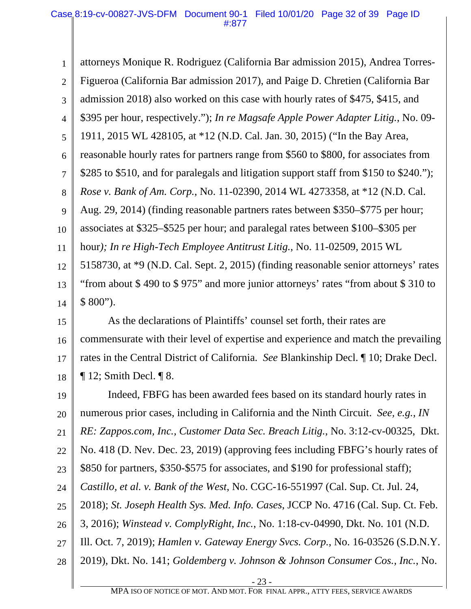1 2 3 4 5 6 7 8 9 10 11 12 13 14 15 16 attorneys Monique R. Rodriguez (California Bar admission 2015), Andrea Torres-Figueroa (California Bar admission 2017), and Paige D. Chretien (California Bar admission 2018) also worked on this case with hourly rates of \$475, \$415, and \$395 per hour, respectively."); *In re Magsafe Apple Power Adapter Litig.*, No. 09- 1911, 2015 WL 428105, at \*12 (N.D. Cal. Jan. 30, 2015) ("In the Bay Area, reasonable hourly rates for partners range from \$560 to \$800, for associates from \$285 to \$510, and for paralegals and litigation support staff from \$150 to \$240."); *Rose v. Bank of Am. Corp.*, No. 11-02390, 2014 WL 4273358, at \*12 (N.D. Cal. Aug. 29, 2014) (finding reasonable partners rates between \$350–\$775 per hour; associates at \$325–\$525 per hour; and paralegal rates between \$100–\$305 per hour*); In re High-Tech Employee Antitrust Litig.*, No. 11-02509, 2015 WL 5158730, at \*9 (N.D. Cal. Sept. 2, 2015) (finding reasonable senior attorneys' rates "from about \$ 490 to \$ 975" and more junior attorneys' rates "from about \$ 310 to  $$800$ "). As the declarations of Plaintiffs' counsel set forth, their rates are commensurate with their level of expertise and experience and match the prevailing

17 18 rates in the Central District of California. *See* Blankinship Decl. ¶ 10; Drake Decl.  $\P$  12; Smith Decl.  $\P$  8.

19 20 21 22 23 24 25 26 27 28 Indeed, FBFG has been awarded fees based on its standard hourly rates in numerous prior cases, including in California and the Ninth Circuit. *See, e.g.*, *IN RE: Zappos.com, Inc., Customer Data Sec. Breach Litig.*, No. 3:12-cv-00325, Dkt. No. 418 (D. Nev. Dec. 23, 2019) (approving fees including FBFG's hourly rates of \$850 for partners, \$350-\$575 for associates, and \$190 for professional staff); *Castillo, et al. v. Bank of the West*, No. CGC-16-551997 (Cal. Sup. Ct. Jul. 24, 2018); *St. Joseph Health Sys. Med. Info. Cases*, JCCP No. 4716 (Cal. Sup. Ct. Feb. 3, 2016); *Winstead v. ComplyRight, Inc.*, No. 1:18-cv-04990, Dkt. No. 101 (N.D. Ill. Oct. 7, 2019); *Hamlen v. Gateway Energy Svcs. Corp.*, No. 16-03526 (S.D.N.Y. 2019), Dkt. No. 141; *Goldemberg v. Johnson & Johnson Consumer Cos., Inc.*, No.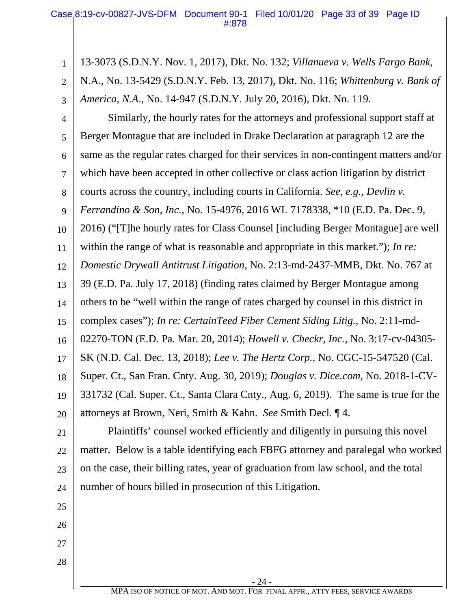1 2 3 13-3073 (S.D.N.Y. Nov. 1, 2017), Dkt. No. 132; *Villanueva v. Wells Fargo Bank*, N.A., No. 13-5429 (S.D.N.Y. Feb. 13, 2017), Dkt. No. 116; *Whittenburg v. Bank of America, N.A*., No. 14-947 (S.D.N.Y. July 20, 2016), Dkt. No. 119.

4 5 6 7 8 9 10 11 12 13 14 15 16 17 18 19 20 Similarly, the hourly rates for the attorneys and professional support staff at Berger Montague that are included in Drake Declaration at paragraph 12 are the same as the regular rates charged for their services in non-contingent matters and/or which have been accepted in other collective or class action litigation by district courts across the country, including courts in California. *See, e.g., Devlin v. Ferrandino & Son, Inc.*, No. 15-4976, 2016 WL 7178338, \*10 (E.D. Pa. Dec. 9, 2016) ("[T]he hourly rates for Class Counsel [including Berger Montague] are well within the range of what is reasonable and appropriate in this market."); *In re: Domestic Drywall Antitrust Litigation,* No. 2:13-md-2437-MMB, Dkt. No. 767 at 39 (E.D. Pa. July 17, 2018) (finding rates claimed by Berger Montague among others to be "well within the range of rates charged by counsel in this district in complex cases"); *In re: CertainTeed Fiber Cement Siding Litig.*, No. 2:11-md-02270-TON (E.D. Pa. Mar. 20, 2014); *Howell v. Checkr, Inc.*, No. 3:17-cv-04305- SK (N.D. Cal. Dec. 13, 2018); *Lee v. The Hertz Corp.*, No. CGC-15-547520 (Cal. Super. Ct., San Fran. Cnty. Aug. 30, 2019); *Douglas v. Dice.com*, No. 2018-1-CV-331732 (Cal. Super. Ct., Santa Clara Cnty., Aug. 6, 2019). The same is true for the attorneys at Brown, Neri, Smith & Kahn. *See* Smith Decl. ¶ 4.

21 22 23 24 Plaintiffs' counsel worked efficiently and diligently in pursuing this novel matter. Below is a table identifying each FBFG attorney and paralegal who worked on the case, their billing rates, year of graduation from law school, and the total number of hours billed in prosecution of this Litigation.

25 26

27

28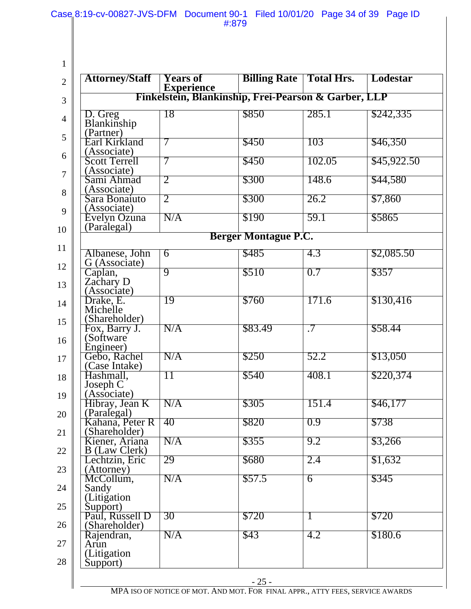Case 8:19-cv-00827-JVS-DFM Document 90-1 Filed 10/01/20 Page 34 of 39 Page ID

#:879

| <b>Attorney/Staff</b>                             | <b>Years of</b> | <b>Billing Rate   Total Hrs.</b> |              | Lodestar    |
|---------------------------------------------------|-----------------|----------------------------------|--------------|-------------|
|                                                   |                 |                                  |              |             |
| D. Greg<br>Blankinship                            | 18              | \$850                            | 285.1        | \$242,335   |
| (Partner)                                         |                 |                                  |              |             |
| Earl Kirkland<br>(Associate)                      | 7               | \$450                            | 103          | \$46,350    |
| <b>Scott Terrell</b><br>(Associate)               | 7               | \$450                            | 102.05       | \$45,922.50 |
| Sami Ahmad                                        | 2               | \$300                            | 148.6        | \$44,580    |
| (Associate)<br>Sara Bonaiuto                      | 2               | \$300                            | 26.2         | \$7,860     |
| (Associate)<br>Evelyn Ozuna                       | N/A             | \$190                            | 59.1         | \$5865      |
| (Paralegal)                                       |                 | <b>Berger Montague P.C.</b>      |              |             |
| Albanese, John                                    | $\overline{6}$  | \$485                            | 4.3          | \$2,085.50  |
| G (Associate)                                     |                 |                                  |              |             |
| Caplan,<br>Zachary D                              | 9               | \$510                            | 0.7          | \$357       |
| (Associate)<br>Drake, E.                          | 19              | \$760                            | 171.6        | \$130,416   |
| Michelle<br>(Shareholder)                         |                 |                                  |              |             |
| Fox, Barry J.<br>(Software                        | N/A             | \$83.49                          | $\cdot$ 7    | \$58.44     |
| <u>Engineer)</u><br>Gebo, Rachel<br>(Case Intake) | N/A             | \$250                            | 52.2         | \$13,050    |
| Hashmall,                                         | 11              | \$540                            | 408.1        | \$220,374   |
| Joseph C<br>(Associate)                           |                 |                                  |              |             |
| Hibray, Jean K                                    | N/A             | \$305                            | 151.4        | \$46,177    |
| (Paralegal)<br>Kahana, Peter R<br>(Shareholder)   | 40              | \$820                            | 0.9          | \$738       |
| Kiener, Ariana                                    | N/A             | \$355                            | 9.2          | \$3,266     |
| B (Law Clerk)<br>Lechtzin, Eric<br>(Attorney)     | 29              | \$680                            | 2.4          | \$1,632     |
| McCollum,<br>Sandy                                | N/A             | \$57.5                           | 6            | \$345       |
| (Litigation<br>Support)                           |                 |                                  |              |             |
| Paul, Russell D<br>(Shareholder)                  | 30              | \$720                            | $\mathbf{I}$ | \$720       |
| Rajendran,<br>Arun                                | N/A             | \$43                             | 4.2          | \$180.6     |
| (Litigation<br>Support)                           |                 |                                  |              |             |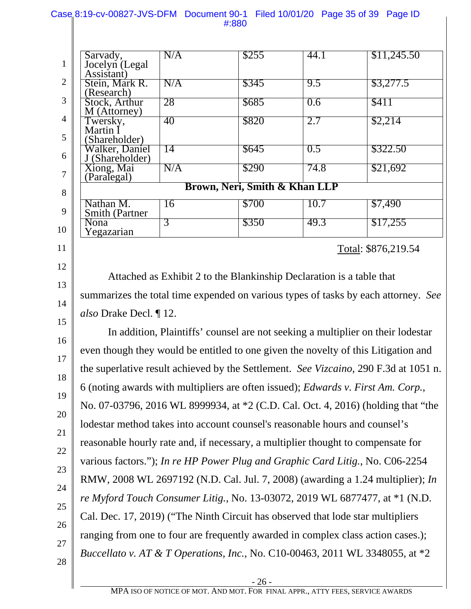|                  | #380                                                                                                                                                                                                                                                                                                                                                                                                                                                                                                                                      |     |                                                                                  |      |                                                                             |  |
|------------------|-------------------------------------------------------------------------------------------------------------------------------------------------------------------------------------------------------------------------------------------------------------------------------------------------------------------------------------------------------------------------------------------------------------------------------------------------------------------------------------------------------------------------------------------|-----|----------------------------------------------------------------------------------|------|-----------------------------------------------------------------------------|--|
|                  |                                                                                                                                                                                                                                                                                                                                                                                                                                                                                                                                           |     |                                                                                  |      |                                                                             |  |
| $\mathbf{1}$     | Sarvady,<br>Jocelyn (Legal<br>Assistant)                                                                                                                                                                                                                                                                                                                                                                                                                                                                                                  | N/A | \$255                                                                            | 44.1 | \$11,245.50                                                                 |  |
| $\mathbf{2}$     | Stein, Mark R.                                                                                                                                                                                                                                                                                                                                                                                                                                                                                                                            | N/A | \$345                                                                            | 9.5  | \$3,277.5                                                                   |  |
| 3                | (Research)<br>Stock, Arthur<br>M (Attorney)                                                                                                                                                                                                                                                                                                                                                                                                                                                                                               | 28  | \$685                                                                            | 0.6  | \$411                                                                       |  |
| $\overline{4}$   | Twersky,<br>Martin I                                                                                                                                                                                                                                                                                                                                                                                                                                                                                                                      | 40  | \$820                                                                            | 2.7  | \$2,214                                                                     |  |
| 5                | (Shareholder)<br>Walker, Daniel                                                                                                                                                                                                                                                                                                                                                                                                                                                                                                           | 14  | \$645                                                                            | 0.5  | \$322.50                                                                    |  |
| 6                | J (Shareholder)<br>Xiong, Mai                                                                                                                                                                                                                                                                                                                                                                                                                                                                                                             | N/A | \$290                                                                            | 74.8 | \$21,692                                                                    |  |
| $\boldsymbol{7}$ | (Paralegal)                                                                                                                                                                                                                                                                                                                                                                                                                                                                                                                               |     |                                                                                  |      |                                                                             |  |
| 8                | Brown, Neri, Smith & Khan LLP                                                                                                                                                                                                                                                                                                                                                                                                                                                                                                             |     |                                                                                  |      |                                                                             |  |
| 9                | Nathan M.<br><b>Smith (Partner</b>                                                                                                                                                                                                                                                                                                                                                                                                                                                                                                        | 16  | \$700                                                                            | 10.7 | \$7,490                                                                     |  |
| 10               | Nona<br>Yegazarian                                                                                                                                                                                                                                                                                                                                                                                                                                                                                                                        | 3   | \$350                                                                            | 49.3 | \$17,255                                                                    |  |
| 11               | Total: \$876,219.54                                                                                                                                                                                                                                                                                                                                                                                                                                                                                                                       |     |                                                                                  |      |                                                                             |  |
| 12               |                                                                                                                                                                                                                                                                                                                                                                                                                                                                                                                                           |     |                                                                                  |      |                                                                             |  |
| 13               | Attached as Exhibit 2 to the Blankinship Declaration is a table that<br>summarizes the total time expended on various types of tasks by each attorney. See<br>also Drake Decl. ¶ 12.<br>In addition, Plaintiffs' counsel are not seeking a multiplier on their lodestar<br>even though they would be entitled to one given the novelty of this Litigation and<br>the superlative result achieved by the Settlement. See Vizcaino, 290 F.3d at 1051 n.<br>6 (noting awards with multipliers are often issued); Edwards v. First Am. Corp., |     |                                                                                  |      |                                                                             |  |
| 14               |                                                                                                                                                                                                                                                                                                                                                                                                                                                                                                                                           |     |                                                                                  |      |                                                                             |  |
| 15               |                                                                                                                                                                                                                                                                                                                                                                                                                                                                                                                                           |     |                                                                                  |      |                                                                             |  |
| 16               |                                                                                                                                                                                                                                                                                                                                                                                                                                                                                                                                           |     |                                                                                  |      |                                                                             |  |
| 17               |                                                                                                                                                                                                                                                                                                                                                                                                                                                                                                                                           |     |                                                                                  |      |                                                                             |  |
| 18               |                                                                                                                                                                                                                                                                                                                                                                                                                                                                                                                                           |     |                                                                                  |      |                                                                             |  |
| 19               |                                                                                                                                                                                                                                                                                                                                                                                                                                                                                                                                           |     |                                                                                  |      |                                                                             |  |
| 20               |                                                                                                                                                                                                                                                                                                                                                                                                                                                                                                                                           |     | No. 07-03796, 2016 WL 8999934, at *2 (C.D. Cal. Oct. 4, 2016) (holding that "the |      |                                                                             |  |
| 21               | lodestar method takes into account counsel's reasonable hours and counsel's                                                                                                                                                                                                                                                                                                                                                                                                                                                               |     |                                                                                  |      |                                                                             |  |
| $22\,$           | reasonable hourly rate and, if necessary, a multiplier thought to compensate for                                                                                                                                                                                                                                                                                                                                                                                                                                                          |     |                                                                                  |      |                                                                             |  |
| 23               | various factors."); In re HP Power Plug and Graphic Card Litig., No. C06-2254                                                                                                                                                                                                                                                                                                                                                                                                                                                             |     |                                                                                  |      |                                                                             |  |
| 24               | RMW, 2008 WL 2697192 (N.D. Cal. Jul. 7, 2008) (awarding a 1.24 multiplier); <i>In</i>                                                                                                                                                                                                                                                                                                                                                                                                                                                     |     |                                                                                  |      |                                                                             |  |
|                  |                                                                                                                                                                                                                                                                                                                                                                                                                                                                                                                                           |     |                                                                                  |      | re Myford Touch Consumer Litig., No. 13-03072, 2019 WL 6877477, at *1 (N.D. |  |
| $25\,$           | Cal. Dec. 17, 2019) ("The Ninth Circuit has observed that lode star multipliers                                                                                                                                                                                                                                                                                                                                                                                                                                                           |     |                                                                                  |      |                                                                             |  |
| 26               | ranging from one to four are frequently awarded in complex class action cases.);                                                                                                                                                                                                                                                                                                                                                                                                                                                          |     |                                                                                  |      |                                                                             |  |
| 27               | Buccellato v. AT & T Operations, Inc., No. C10-00463, 2011 WL 3348055, at *2                                                                                                                                                                                                                                                                                                                                                                                                                                                              |     |                                                                                  |      |                                                                             |  |
| 28               |                                                                                                                                                                                                                                                                                                                                                                                                                                                                                                                                           |     |                                                                                  |      |                                                                             |  |

#### Case 8:19-cv-00827-JVS-DFM Document 90-1 Filed 10/01/20 Page 35 of 39 Page ID #:880

 $\overline{1}$ 

- 26 -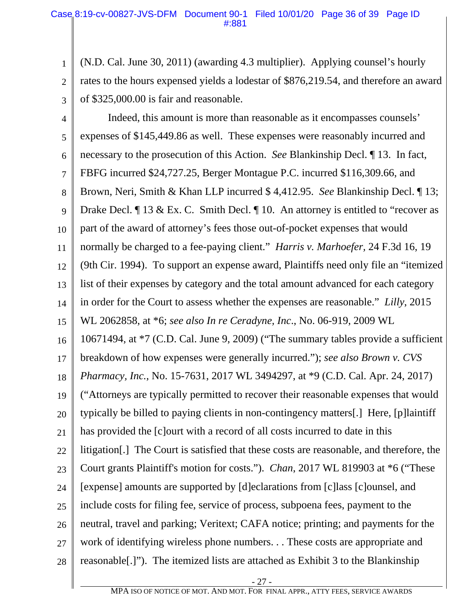1 2 3 (N.D. Cal. June 30, 2011) (awarding 4.3 multiplier). Applying counsel's hourly rates to the hours expensed yields a lodestar of \$876,219.54, and therefore an award of \$325,000.00 is fair and reasonable.

4 5 6 7 8 9 10 11 12 13 14 15 16 17 18 19 20 21 22 23 24 25 26 27 28 Indeed, this amount is more than reasonable as it encompasses counsels' expenses of \$145,449.86 as well. These expenses were reasonably incurred and necessary to the prosecution of this Action. *See* Blankinship Decl. ¶ 13. In fact, FBFG incurred \$24,727.25, Berger Montague P.C. incurred \$116,309.66, and Brown, Neri, Smith & Khan LLP incurred \$ 4,412.95. *See* Blankinship Decl. ¶ 13; Drake Decl. If 13 & Ex. C. Smith Decl. If 10. An attorney is entitled to "recover as part of the award of attorney's fees those out-of-pocket expenses that would normally be charged to a fee-paying client." *Harris v. Marhoefer,* 24 F.3d 16, 19 (9th Cir. 1994). To support an expense award, Plaintiffs need only file an "itemized list of their expenses by category and the total amount advanced for each category in order for the Court to assess whether the expenses are reasonable." *Lilly*, 2015 WL 2062858, at \*6; *see also In re Ceradyne, Inc*., No. 06-919, 2009 WL 10671494, at \*7 (C.D. Cal. June 9, 2009) ("The summary tables provide a sufficient breakdown of how expenses were generally incurred."); *see also Brown v. CVS Pharmacy, Inc.*, No. 15-7631, 2017 WL 3494297, at \*9 (C.D. Cal. Apr. 24, 2017) ("Attorneys are typically permitted to recover their reasonable expenses that would typically be billed to paying clients in non-contingency matters[.] Here, [p]laintiff has provided the [c]ourt with a record of all costs incurred to date in this litigation[.] The Court is satisfied that these costs are reasonable, and therefore, the Court grants Plaintiff's motion for costs."). *Chan*, 2017 WL 819903 at \*6 ("These [expense] amounts are supported by [d]eclarations from [c]lass [c]ounsel, and include costs for filing fee, service of process, subpoena fees, payment to the neutral, travel and parking; Veritext; CAFA notice; printing; and payments for the work of identifying wireless phone numbers. . . These costs are appropriate and reasonable[.]"). The itemized lists are attached as Exhibit 3 to the Blankinship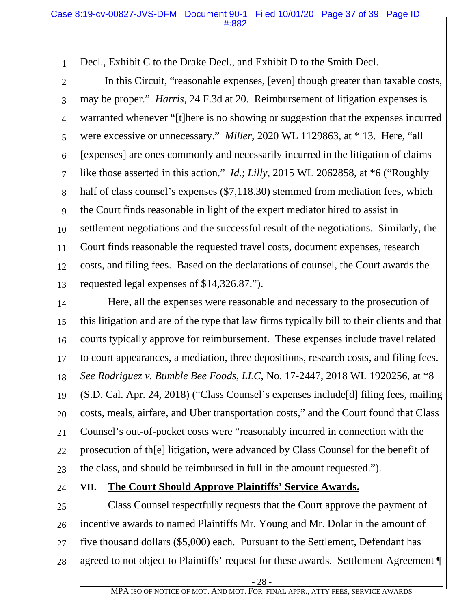1 Decl., Exhibit C to the Drake Decl., and Exhibit D to the Smith Decl.

2 3 4 5 6 7 8 9 10 11 12 13 In this Circuit, "reasonable expenses, [even] though greater than taxable costs, may be proper." *Harris*, 24 F.3d at 20. Reimbursement of litigation expenses is warranted whenever "[t]here is no showing or suggestion that the expenses incurred were excessive or unnecessary." *Miller*, 2020 WL 1129863, at \* 13. Here, "all [expenses] are ones commonly and necessarily incurred in the litigation of claims like those asserted in this action." *Id.*; *Lilly*, 2015 WL 2062858, at \*6 ("Roughly half of class counsel's expenses (\$7,118.30) stemmed from mediation fees, which the Court finds reasonable in light of the expert mediator hired to assist in settlement negotiations and the successful result of the negotiations. Similarly, the Court finds reasonable the requested travel costs, document expenses, research costs, and filing fees. Based on the declarations of counsel, the Court awards the requested legal expenses of \$14,326.87.").

14 15 16 17 18 19 20 21 22 23 Here, all the expenses were reasonable and necessary to the prosecution of this litigation and are of the type that law firms typically bill to their clients and that courts typically approve for reimbursement. These expenses include travel related to court appearances, a mediation, three depositions, research costs, and filing fees. *See Rodriguez v. Bumble Bee Foods, LLC*, No. 17-2447, 2018 WL 1920256, at \*8 (S.D. Cal. Apr. 24, 2018) ("Class Counsel's expenses include[d] filing fees, mailing costs, meals, airfare, and Uber transportation costs," and the Court found that Class Counsel's out-of-pocket costs were "reasonably incurred in connection with the prosecution of th[e] litigation, were advanced by Class Counsel for the benefit of the class, and should be reimbursed in full in the amount requested.").

24

#### **VII. The Court Should Approve Plaintiffs' Service Awards.**

25 26 27 28 Class Counsel respectfully requests that the Court approve the payment of incentive awards to named Plaintiffs Mr. Young and Mr. Dolar in the amount of five thousand dollars (\$5,000) each. Pursuant to the Settlement, Defendant has agreed to not object to Plaintiffs' request for these awards. Settlement Agreement ¶

- 28 -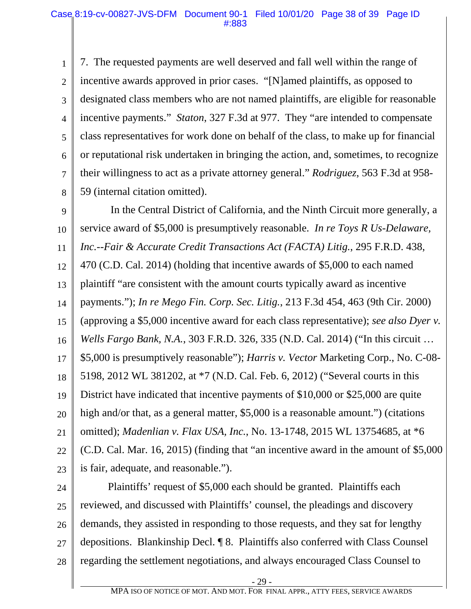1 2 3 4 5 6 7 8 7. The requested payments are well deserved and fall well within the range of incentive awards approved in prior cases. "[N]amed plaintiffs, as opposed to designated class members who are not named plaintiffs, are eligible for reasonable incentive payments." *Staton*, 327 F.3d at 977. They "are intended to compensate class representatives for work done on behalf of the class, to make up for financial or reputational risk undertaken in bringing the action, and, sometimes, to recognize their willingness to act as a private attorney general." *Rodriguez*, 563 F.3d at 958- 59 (internal citation omitted).

9 10 11 12 13 14 15 16 17 18 19 20 21 22 23 In the Central District of California, and the Ninth Circuit more generally, a service award of \$5,000 is presumptively reasonable. *In re Toys R Us-Delaware, Inc.--Fair & Accurate Credit Transactions Act (FACTA) Litig.*, 295 F.R.D. 438, 470 (C.D. Cal. 2014) (holding that incentive awards of \$5,000 to each named plaintiff "are consistent with the amount courts typically award as incentive payments."); *In re Mego Fin. Corp. Sec. Litig.*, 213 F.3d 454, 463 (9th Cir. 2000) (approving a \$5,000 incentive award for each class representative); *see also Dyer v. Wells Fargo Bank, N.A.*, 303 F.R.D. 326, 335 (N.D. Cal. 2014) ("In this circuit … \$5,000 is presumptively reasonable"); *Harris v. Vector* Marketing Corp., No. C-08- 5198, 2012 WL 381202, at \*7 (N.D. Cal. Feb. 6, 2012) ("Several courts in this District have indicated that incentive payments of \$10,000 or \$25,000 are quite high and/or that, as a general matter, \$5,000 is a reasonable amount.") (citations omitted); *Madenlian v. Flax USA, Inc.*, No. 13-1748, 2015 WL 13754685, at \*6 (C.D. Cal. Mar. 16, 2015) (finding that "an incentive award in the amount of \$5,000 is fair, adequate, and reasonable.").

24 25 26 27 28 Plaintiffs' request of \$5,000 each should be granted. Plaintiffs each reviewed, and discussed with Plaintiffs' counsel, the pleadings and discovery demands, they assisted in responding to those requests, and they sat for lengthy depositions. Blankinship Decl. ¶ 8. Plaintiffs also conferred with Class Counsel regarding the settlement negotiations, and always encouraged Class Counsel to

- 29 -